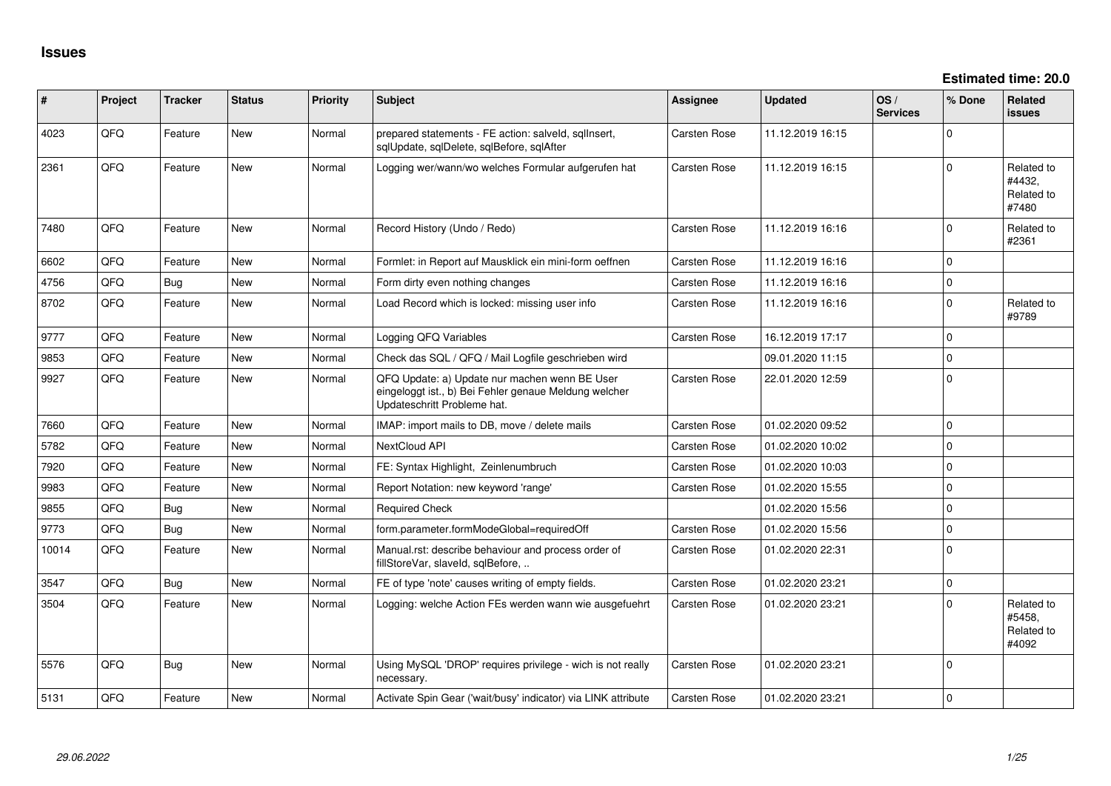**Estimated time: 20.0**

| #     | Project | <b>Tracker</b> | <b>Status</b> | <b>Priority</b> | <b>Subject</b>                                                                                                                        | <b>Assignee</b>     | <b>Updated</b>   | OS/<br><b>Services</b> | % Done       | Related<br><b>issues</b>                    |
|-------|---------|----------------|---------------|-----------------|---------------------------------------------------------------------------------------------------------------------------------------|---------------------|------------------|------------------------|--------------|---------------------------------------------|
| 4023  | QFQ     | Feature        | New           | Normal          | prepared statements - FE action: salveld, sqllnsert,<br>sqlUpdate, sqlDelete, sqlBefore, sqlAfter                                     | Carsten Rose        | 11.12.2019 16:15 |                        | <sup>0</sup> |                                             |
| 2361  | QFQ     | Feature        | <b>New</b>    | Normal          | Logging wer/wann/wo welches Formular aufgerufen hat                                                                                   | Carsten Rose        | 11.12.2019 16:15 |                        | $\Omega$     | Related to<br>#4432,<br>Related to<br>#7480 |
| 7480  | QFQ     | Feature        | <b>New</b>    | Normal          | Record History (Undo / Redo)                                                                                                          | Carsten Rose        | 11.12.2019 16:16 |                        | 0            | Related to<br>#2361                         |
| 6602  | QFQ     | Feature        | <b>New</b>    | Normal          | Formlet: in Report auf Mausklick ein mini-form oeffnen                                                                                | Carsten Rose        | 11.12.2019 16:16 |                        | 0            |                                             |
| 4756  | QFQ     | Bug            | <b>New</b>    | Normal          | Form dirty even nothing changes                                                                                                       | Carsten Rose        | 11.12.2019 16:16 |                        | 0            |                                             |
| 8702  | QFQ     | Feature        | <b>New</b>    | Normal          | Load Record which is locked: missing user info                                                                                        | Carsten Rose        | 11.12.2019 16:16 |                        | 0            | Related to<br>#9789                         |
| 9777  | QFQ     | Feature        | <b>New</b>    | Normal          | Logging QFQ Variables                                                                                                                 | Carsten Rose        | 16.12.2019 17:17 |                        | 0            |                                             |
| 9853  | QFQ     | Feature        | New           | Normal          | Check das SQL / QFQ / Mail Logfile geschrieben wird                                                                                   |                     | 09.01.2020 11:15 |                        | $\Omega$     |                                             |
| 9927  | QFQ     | Feature        | <b>New</b>    | Normal          | QFQ Update: a) Update nur machen wenn BE User<br>eingeloggt ist., b) Bei Fehler genaue Meldung welcher<br>Updateschritt Probleme hat. | Carsten Rose        | 22.01.2020 12:59 |                        | $\Omega$     |                                             |
| 7660  | QFQ     | Feature        | <b>New</b>    | Normal          | IMAP: import mails to DB, move / delete mails                                                                                         | Carsten Rose        | 01.02.2020 09:52 |                        | $\mathbf 0$  |                                             |
| 5782  | QFQ     | Feature        | <b>New</b>    | Normal          | NextCloud API                                                                                                                         | Carsten Rose        | 01.02.2020 10:02 |                        | $\Omega$     |                                             |
| 7920  | QFQ     | Feature        | <b>New</b>    | Normal          | FE: Syntax Highlight, Zeinlenumbruch                                                                                                  | Carsten Rose        | 01.02.2020 10:03 |                        | $\Omega$     |                                             |
| 9983  | QFQ     | Feature        | New           | Normal          | Report Notation: new keyword 'range'                                                                                                  | Carsten Rose        | 01.02.2020 15:55 |                        | $\Omega$     |                                             |
| 9855  | QFQ     | Bug            | New           | Normal          | <b>Required Check</b>                                                                                                                 |                     | 01.02.2020 15:56 |                        | $\Omega$     |                                             |
| 9773  | QFQ     | Bug            | New           | Normal          | form.parameter.formModeGlobal=requiredOff                                                                                             | Carsten Rose        | 01.02.2020 15:56 |                        | $\Omega$     |                                             |
| 10014 | QFQ     | Feature        | New           | Normal          | Manual.rst: describe behaviour and process order of<br>fillStoreVar, slaveId, sqlBefore,                                              | Carsten Rose        | 01.02.2020 22:31 |                        | $\Omega$     |                                             |
| 3547  | QFQ     | Bug            | New           | Normal          | FE of type 'note' causes writing of empty fields.                                                                                     | <b>Carsten Rose</b> | 01.02.2020 23:21 |                        | $\mathbf 0$  |                                             |
| 3504  | QFQ     | Feature        | <b>New</b>    | Normal          | Logging: welche Action FEs werden wann wie ausgefuehrt                                                                                | Carsten Rose        | 01.02.2020 23:21 |                        | <sup>0</sup> | Related to<br>#5458,<br>Related to<br>#4092 |
| 5576  | QFQ     | Bug            | <b>New</b>    | Normal          | Using MySQL 'DROP' requires privilege - wich is not really<br>necessary.                                                              | Carsten Rose        | 01.02.2020 23:21 |                        | 0            |                                             |
| 5131  | QFQ     | Feature        | New           | Normal          | Activate Spin Gear ('wait/busy' indicator) via LINK attribute                                                                         | Carsten Rose        | 01.02.2020 23:21 |                        | $\Omega$     |                                             |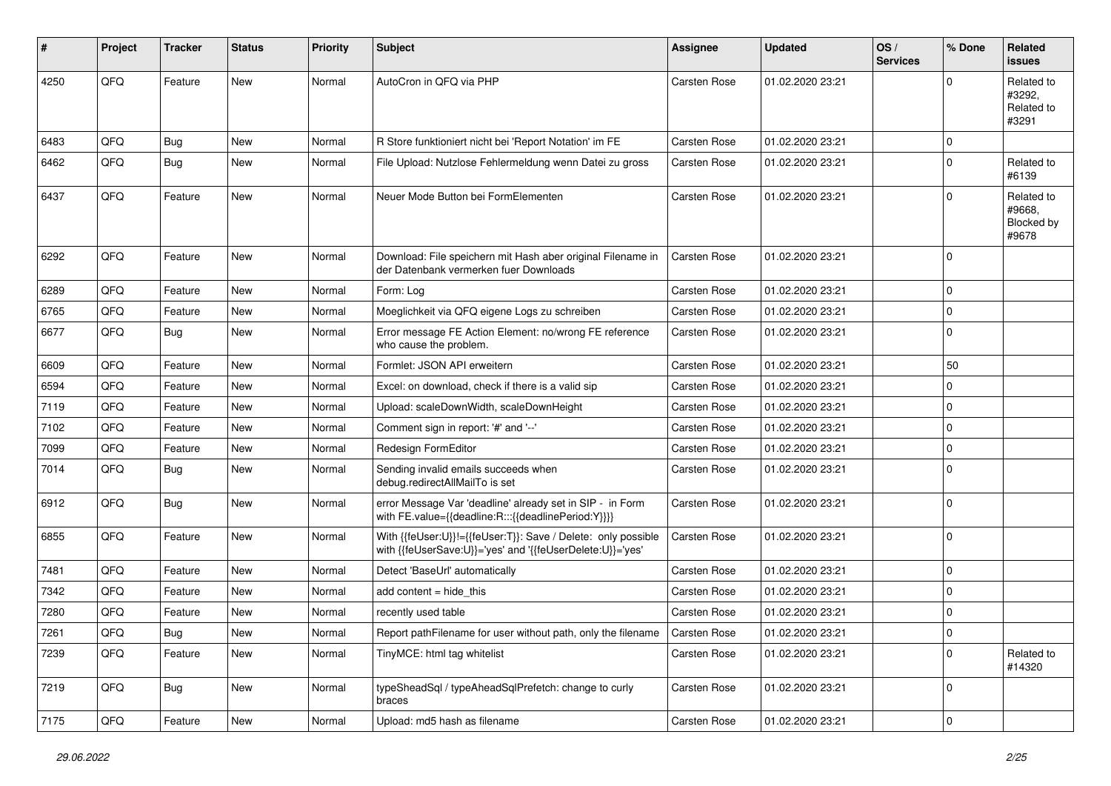| #    | Project | <b>Tracker</b> | <b>Status</b> | <b>Priority</b> | Subject                                                                                                                    | <b>Assignee</b>     | <b>Updated</b>   | OS/<br><b>Services</b> | % Done       | Related<br><b>issues</b>                    |
|------|---------|----------------|---------------|-----------------|----------------------------------------------------------------------------------------------------------------------------|---------------------|------------------|------------------------|--------------|---------------------------------------------|
| 4250 | QFQ     | Feature        | New           | Normal          | AutoCron in QFQ via PHP                                                                                                    | Carsten Rose        | 01.02.2020 23:21 |                        | $\Omega$     | Related to<br>#3292.<br>Related to<br>#3291 |
| 6483 | QFQ     | Bug            | <b>New</b>    | Normal          | R Store funktioniert nicht bei 'Report Notation' im FE                                                                     | <b>Carsten Rose</b> | 01.02.2020 23:21 |                        | $\mathbf 0$  |                                             |
| 6462 | QFQ     | Bug            | <b>New</b>    | Normal          | File Upload: Nutzlose Fehlermeldung wenn Datei zu gross                                                                    | Carsten Rose        | 01.02.2020 23:21 |                        | $\mathbf 0$  | Related to<br>#6139                         |
| 6437 | QFQ     | Feature        | <b>New</b>    | Normal          | Neuer Mode Button bei FormElementen                                                                                        | <b>Carsten Rose</b> | 01.02.2020 23:21 |                        | $\Omega$     | Related to<br>#9668.<br>Blocked by<br>#9678 |
| 6292 | QFQ     | Feature        | <b>New</b>    | Normal          | Download: File speichern mit Hash aber original Filename in<br>der Datenbank vermerken fuer Downloads                      | <b>Carsten Rose</b> | 01.02.2020 23:21 |                        | $\mathbf 0$  |                                             |
| 6289 | QFQ     | Feature        | <b>New</b>    | Normal          | Form: Log                                                                                                                  | Carsten Rose        | 01.02.2020 23:21 |                        | $\mathbf 0$  |                                             |
| 6765 | QFQ     | Feature        | <b>New</b>    | Normal          | Moeglichkeit via QFQ eigene Logs zu schreiben                                                                              | <b>Carsten Rose</b> | 01.02.2020 23:21 |                        | $\mathbf 0$  |                                             |
| 6677 | QFQ     | Bug            | New           | Normal          | Error message FE Action Element: no/wrong FE reference<br>who cause the problem.                                           | Carsten Rose        | 01.02.2020 23:21 |                        | $\mathbf 0$  |                                             |
| 6609 | QFQ     | Feature        | <b>New</b>    | Normal          | Formlet: JSON API erweitern                                                                                                | Carsten Rose        | 01.02.2020 23:21 |                        | 50           |                                             |
| 6594 | QFQ     | Feature        | New           | Normal          | Excel: on download, check if there is a valid sip                                                                          | Carsten Rose        | 01.02.2020 23:21 |                        | $\Omega$     |                                             |
| 7119 | QFQ     | Feature        | <b>New</b>    | Normal          | Upload: scaleDownWidth, scaleDownHeight                                                                                    | Carsten Rose        | 01.02.2020 23:21 |                        | $\mathbf 0$  |                                             |
| 7102 | QFQ     | Feature        | <b>New</b>    | Normal          | Comment sign in report: '#' and '--'                                                                                       | Carsten Rose        | 01.02.2020 23:21 |                        | $\mathbf 0$  |                                             |
| 7099 | QFQ     | Feature        | <b>New</b>    | Normal          | Redesign FormEditor                                                                                                        | Carsten Rose        | 01.02.2020 23:21 |                        | $\mathbf 0$  |                                             |
| 7014 | QFQ     | Bug            | New           | Normal          | Sending invalid emails succeeds when<br>debug.redirectAllMailTo is set                                                     | Carsten Rose        | 01.02.2020 23:21 |                        | $\mathbf 0$  |                                             |
| 6912 | QFQ     | Bug            | <b>New</b>    | Normal          | error Message Var 'deadline' already set in SIP - in Form<br>with FE.value={{deadline:R:::{{deadlinePeriod:Y}}}}           | Carsten Rose        | 01.02.2020 23:21 |                        | $\mathbf{0}$ |                                             |
| 6855 | QFQ     | Feature        | <b>New</b>    | Normal          | With {{feUser:U}}!={{feUser:T}}: Save / Delete: only possible<br>with {{feUserSave:U}}='yes' and '{{feUserDelete:U}}='yes' | Carsten Rose        | 01.02.2020 23:21 |                        | $\mathbf 0$  |                                             |
| 7481 | QFQ     | Feature        | <b>New</b>    | Normal          | Detect 'BaseUrl' automatically                                                                                             | Carsten Rose        | 01.02.2020 23:21 |                        | $\mathbf 0$  |                                             |
| 7342 | QFQ     | Feature        | <b>New</b>    | Normal          | add content = hide_this                                                                                                    | Carsten Rose        | 01.02.2020 23:21 |                        | $\Omega$     |                                             |
| 7280 | QFQ     | Feature        | <b>New</b>    | Normal          | recently used table                                                                                                        | Carsten Rose        | 01.02.2020 23:21 |                        | $\mathbf 0$  |                                             |
| 7261 | QFQ     | Bug            | New           | Normal          | Report path Filename for user without path, only the filename                                                              | <b>Carsten Rose</b> | 01.02.2020 23:21 |                        | 0            |                                             |
| 7239 | QFQ     | Feature        | New           | Normal          | TinyMCE: html tag whitelist                                                                                                | Carsten Rose        | 01.02.2020 23:21 |                        | $\mathbf 0$  | Related to<br>#14320                        |
| 7219 | QFQ     | <b>Bug</b>     | New           | Normal          | typeSheadSql / typeAheadSqlPrefetch: change to curly<br>braces                                                             | Carsten Rose        | 01.02.2020 23:21 |                        | $\mathbf 0$  |                                             |
| 7175 | QFQ     | Feature        | New           | Normal          | Upload: md5 hash as filename                                                                                               | Carsten Rose        | 01.02.2020 23:21 |                        | $\mathbf 0$  |                                             |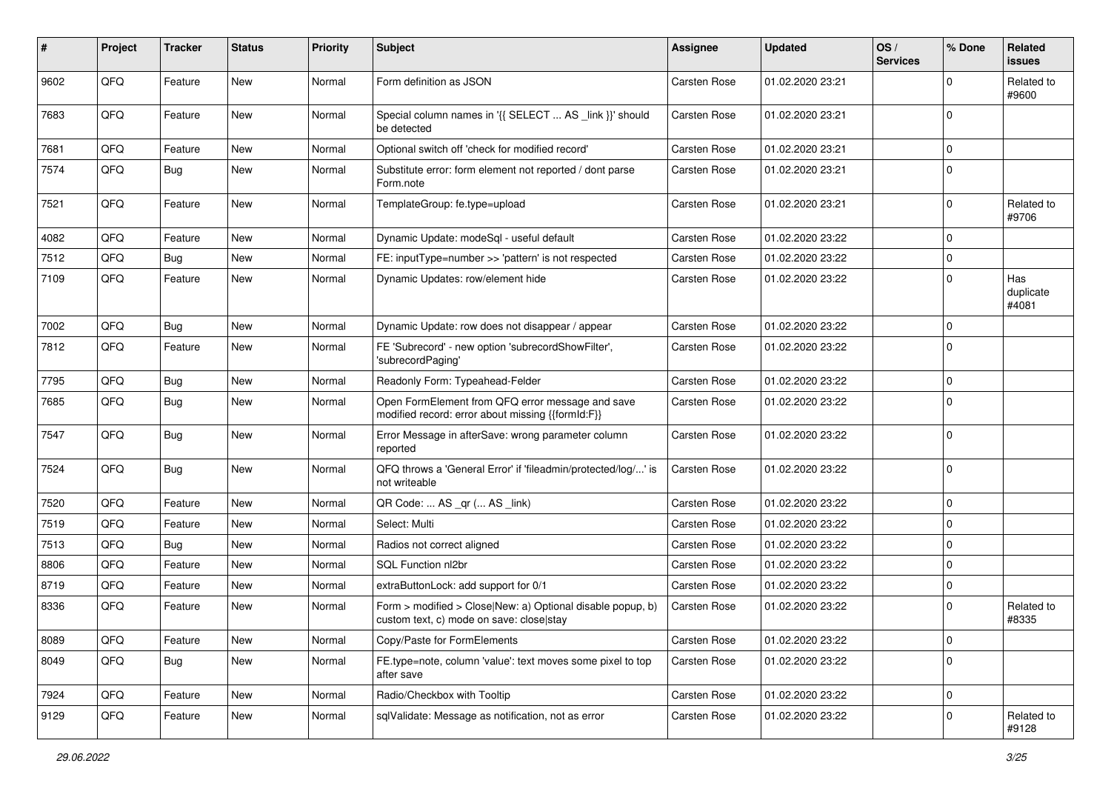| #    | Project | <b>Tracker</b> | <b>Status</b> | <b>Priority</b> | <b>Subject</b>                                                                                         | <b>Assignee</b>     | <b>Updated</b>   | OS/<br><b>Services</b> | % Done       | Related<br><b>issues</b>  |
|------|---------|----------------|---------------|-----------------|--------------------------------------------------------------------------------------------------------|---------------------|------------------|------------------------|--------------|---------------------------|
| 9602 | QFQ     | Feature        | New           | Normal          | Form definition as JSON                                                                                | <b>Carsten Rose</b> | 01.02.2020 23:21 |                        | $\Omega$     | Related to<br>#9600       |
| 7683 | QFQ     | Feature        | New           | Normal          | Special column names in '{{ SELECT  AS _link }}' should<br>be detected                                 | Carsten Rose        | 01.02.2020 23:21 |                        | $\Omega$     |                           |
| 7681 | QFQ     | Feature        | <b>New</b>    | Normal          | Optional switch off 'check for modified record'                                                        | Carsten Rose        | 01.02.2020 23:21 |                        | $\Omega$     |                           |
| 7574 | QFQ     | Bug            | <b>New</b>    | Normal          | Substitute error: form element not reported / dont parse<br>Form.note                                  | Carsten Rose        | 01.02.2020 23:21 |                        | $\Omega$     |                           |
| 7521 | QFQ     | Feature        | New           | Normal          | TemplateGroup: fe.type=upload                                                                          | Carsten Rose        | 01.02.2020 23:21 |                        | $\Omega$     | Related to<br>#9706       |
| 4082 | QFQ     | Feature        | <b>New</b>    | Normal          | Dynamic Update: modeSql - useful default                                                               | Carsten Rose        | 01.02.2020 23:22 |                        | $\mathbf 0$  |                           |
| 7512 | QFQ     | Bug            | <b>New</b>    | Normal          | FE: inputType=number >> 'pattern' is not respected                                                     | Carsten Rose        | 01.02.2020 23:22 |                        | $\mathbf{0}$ |                           |
| 7109 | QFQ     | Feature        | <b>New</b>    | Normal          | Dynamic Updates: row/element hide                                                                      | Carsten Rose        | 01.02.2020 23:22 |                        | $\Omega$     | Has<br>duplicate<br>#4081 |
| 7002 | QFQ     | Bug            | <b>New</b>    | Normal          | Dynamic Update: row does not disappear / appear                                                        | Carsten Rose        | 01.02.2020 23:22 |                        | $\Omega$     |                           |
| 7812 | QFQ     | Feature        | <b>New</b>    | Normal          | FE 'Subrecord' - new option 'subrecordShowFilter',<br>'subrecordPaging'                                | Carsten Rose        | 01.02.2020 23:22 |                        | $\Omega$     |                           |
| 7795 | QFQ     | Bug            | <b>New</b>    | Normal          | Readonly Form: Typeahead-Felder                                                                        | Carsten Rose        | 01.02.2020 23:22 |                        | $\mathbf 0$  |                           |
| 7685 | QFQ     | Bug            | New           | Normal          | Open FormElement from QFQ error message and save<br>modified record: error about missing {{formId:F}}  | <b>Carsten Rose</b> | 01.02.2020 23:22 |                        | $\Omega$     |                           |
| 7547 | QFQ     | <b>Bug</b>     | New           | Normal          | Error Message in afterSave: wrong parameter column<br>reported                                         | Carsten Rose        | 01.02.2020 23:22 |                        | $\Omega$     |                           |
| 7524 | QFQ     | <b>Bug</b>     | New           | Normal          | QFQ throws a 'General Error' if 'fileadmin/protected/log/' is<br>not writeable                         | Carsten Rose        | 01.02.2020 23:22 |                        | $\Omega$     |                           |
| 7520 | QFQ     | Feature        | New           | Normal          | QR Code:  AS _qr ( AS _link)                                                                           | Carsten Rose        | 01.02.2020 23:22 |                        | $\mathbf 0$  |                           |
| 7519 | QFQ     | Feature        | <b>New</b>    | Normal          | Select: Multi                                                                                          | Carsten Rose        | 01.02.2020 23:22 |                        | $\mathbf 0$  |                           |
| 7513 | QFQ     | Bug            | New           | Normal          | Radios not correct aligned                                                                             | Carsten Rose        | 01.02.2020 23:22 |                        | $\Omega$     |                           |
| 8806 | QFQ     | Feature        | <b>New</b>    | Normal          | <b>SQL Function nl2br</b>                                                                              | Carsten Rose        | 01.02.2020 23:22 |                        | $\Omega$     |                           |
| 8719 | QFQ     | Feature        | New           | Normal          | extraButtonLock: add support for 0/1                                                                   | Carsten Rose        | 01.02.2020 23:22 |                        | $\mathbf 0$  |                           |
| 8336 | QFQ     | Feature        | New           | Normal          | Form > modified > Close New: a) Optional disable popup, b)<br>custom text, c) mode on save: close stay | Carsten Rose        | 01.02.2020 23:22 |                        | $\Omega$     | Related to<br>#8335       |
| 8089 | QFQ     | Feature        | New           | Normal          | Copy/Paste for FormElements                                                                            | Carsten Rose        | 01.02.2020 23:22 |                        | $\mathbf 0$  |                           |
| 8049 | QFQ     | Bug            | New           | Normal          | FE.type=note, column 'value': text moves some pixel to top<br>after save                               | Carsten Rose        | 01.02.2020 23:22 |                        | $\mathbf 0$  |                           |
| 7924 | QFQ     | Feature        | New           | Normal          | Radio/Checkbox with Tooltip                                                                            | Carsten Rose        | 01.02.2020 23:22 |                        | $\mathbf 0$  |                           |
| 9129 | QFQ     | Feature        | New           | Normal          | sqlValidate: Message as notification, not as error                                                     | Carsten Rose        | 01.02.2020 23:22 |                        | $\mathbf 0$  | Related to<br>#9128       |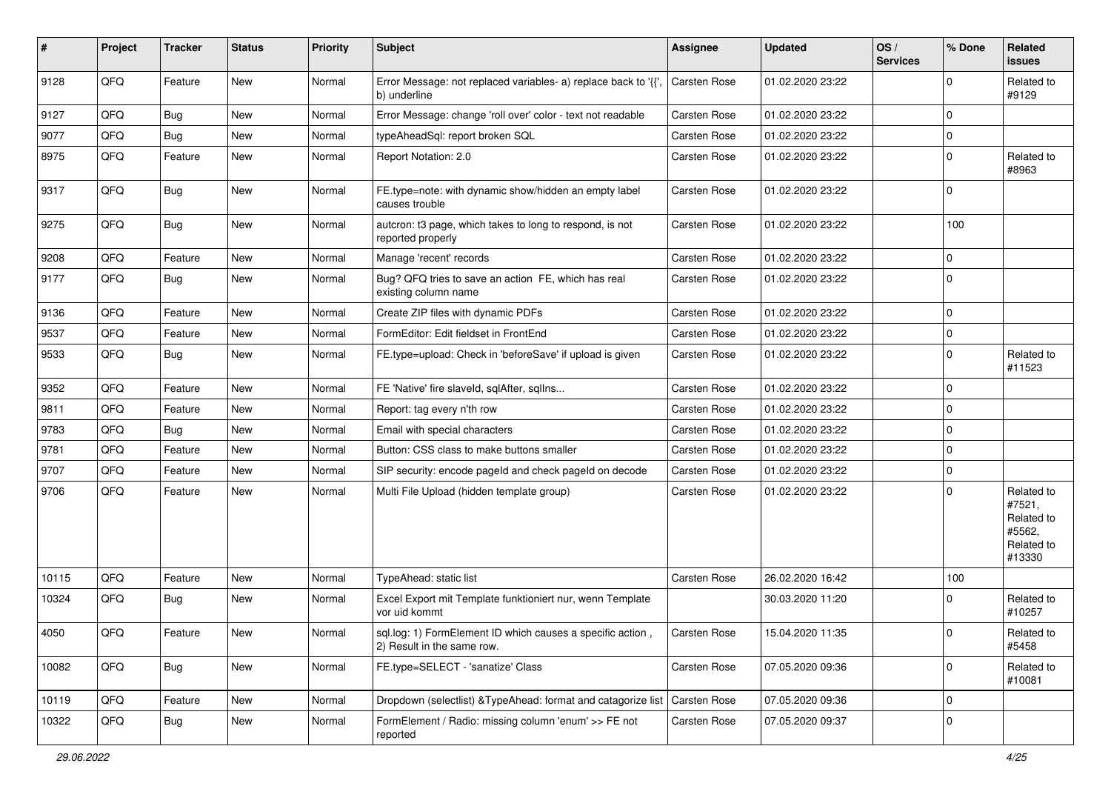| #     | Project | <b>Tracker</b> | <b>Status</b> | <b>Priority</b> | <b>Subject</b>                                                                           | <b>Assignee</b>     | <b>Updated</b>   | OS/<br><b>Services</b> | % Done      | Related<br><b>issues</b>                                             |
|-------|---------|----------------|---------------|-----------------|------------------------------------------------------------------------------------------|---------------------|------------------|------------------------|-------------|----------------------------------------------------------------------|
| 9128  | QFQ     | Feature        | <b>New</b>    | Normal          | Error Message: not replaced variables- a) replace back to '{{',<br>b) underline          | Carsten Rose        | 01.02.2020 23:22 |                        | $\Omega$    | Related to<br>#9129                                                  |
| 9127  | QFQ     | Bug            | <b>New</b>    | Normal          | Error Message: change 'roll over' color - text not readable                              | Carsten Rose        | 01.02.2020 23:22 |                        | $\mathbf 0$ |                                                                      |
| 9077  | QFQ     | Bug            | New           | Normal          | typeAheadSql: report broken SQL                                                          | Carsten Rose        | 01.02.2020 23:22 |                        | $\mathbf 0$ |                                                                      |
| 8975  | QFQ     | Feature        | New           | Normal          | Report Notation: 2.0                                                                     | Carsten Rose        | 01.02.2020 23:22 |                        | $\mathbf 0$ | Related to<br>#8963                                                  |
| 9317  | QFQ     | <b>Bug</b>     | New           | Normal          | FE.type=note: with dynamic show/hidden an empty label<br>causes trouble                  | <b>Carsten Rose</b> | 01.02.2020 23:22 |                        | $\mathbf 0$ |                                                                      |
| 9275  | QFQ     | Bug            | <b>New</b>    | Normal          | autcron: t3 page, which takes to long to respond, is not<br>reported properly            | Carsten Rose        | 01.02.2020 23:22 |                        | 100         |                                                                      |
| 9208  | QFQ     | Feature        | <b>New</b>    | Normal          | Manage 'recent' records                                                                  | Carsten Rose        | 01.02.2020 23:22 |                        | $\mathbf 0$ |                                                                      |
| 9177  | QFQ     | Bug            | <b>New</b>    | Normal          | Bug? QFQ tries to save an action FE, which has real<br>existing column name              | Carsten Rose        | 01.02.2020 23:22 |                        | $\mathbf 0$ |                                                                      |
| 9136  | QFQ     | Feature        | <b>New</b>    | Normal          | Create ZIP files with dynamic PDFs                                                       | Carsten Rose        | 01.02.2020 23:22 |                        | $\mathbf 0$ |                                                                      |
| 9537  | QFQ     | Feature        | <b>New</b>    | Normal          | FormEditor: Edit fieldset in FrontEnd                                                    | Carsten Rose        | 01.02.2020 23:22 |                        | $\mathbf 0$ |                                                                      |
| 9533  | QFQ     | Bug            | New           | Normal          | FE.type=upload: Check in 'beforeSave' if upload is given                                 | Carsten Rose        | 01.02.2020 23:22 |                        | $\mathbf 0$ | Related to<br>#11523                                                 |
| 9352  | QFQ     | Feature        | New           | Normal          | FE 'Native' fire slaveld, sqlAfter, sqlIns                                               | Carsten Rose        | 01.02.2020 23:22 |                        | $\mathbf 0$ |                                                                      |
| 9811  | QFQ     | Feature        | New           | Normal          | Report: tag every n'th row                                                               | Carsten Rose        | 01.02.2020 23:22 |                        | $\mathbf 0$ |                                                                      |
| 9783  | QFQ     | <b>Bug</b>     | <b>New</b>    | Normal          | Email with special characters                                                            | Carsten Rose        | 01.02.2020 23:22 |                        | $\mathbf 0$ |                                                                      |
| 9781  | QFQ     | Feature        | <b>New</b>    | Normal          | Button: CSS class to make buttons smaller                                                | Carsten Rose        | 01.02.2020 23:22 |                        | $\mathbf 0$ |                                                                      |
| 9707  | QFQ     | Feature        | New           | Normal          | SIP security: encode pageld and check pageld on decode                                   | Carsten Rose        | 01.02.2020 23:22 |                        | $\mathbf 0$ |                                                                      |
| 9706  | QFQ     | Feature        | New           | Normal          | Multi File Upload (hidden template group)                                                | Carsten Rose        | 01.02.2020 23:22 |                        | $\mathbf 0$ | Related to<br>#7521,<br>Related to<br>#5562,<br>Related to<br>#13330 |
| 10115 | QFQ     | Feature        | New           | Normal          | TypeAhead: static list                                                                   | Carsten Rose        | 26.02.2020 16:42 |                        | 100         |                                                                      |
| 10324 | QFQ     | Bug            | <b>New</b>    | Normal          | Excel Export mit Template funktioniert nur, wenn Template<br>vor uid kommt               |                     | 30.03.2020 11:20 |                        | $\Omega$    | Related to<br>#10257                                                 |
| 4050  | QFQ     | Feature        | New           | Normal          | sql.log: 1) FormElement ID which causes a specific action,<br>2) Result in the same row. | Carsten Rose        | 15.04.2020 11:35 |                        | 0           | Related to<br>#5458                                                  |
| 10082 | QFQ     | <b>Bug</b>     | New           | Normal          | FE.type=SELECT - 'sanatize' Class                                                        | Carsten Rose        | 07.05.2020 09:36 |                        | $\mathbf 0$ | Related to<br>#10081                                                 |
| 10119 | QFQ     | Feature        | New           | Normal          | Dropdown (selectlist) & TypeAhead: format and catagorize list                            | Carsten Rose        | 07.05.2020 09:36 |                        | $\mathbf 0$ |                                                                      |
| 10322 | QFQ     | <b>Bug</b>     | New           | Normal          | FormElement / Radio: missing column 'enum' >> FE not<br>reported                         | Carsten Rose        | 07.05.2020 09:37 |                        | $\mathbf 0$ |                                                                      |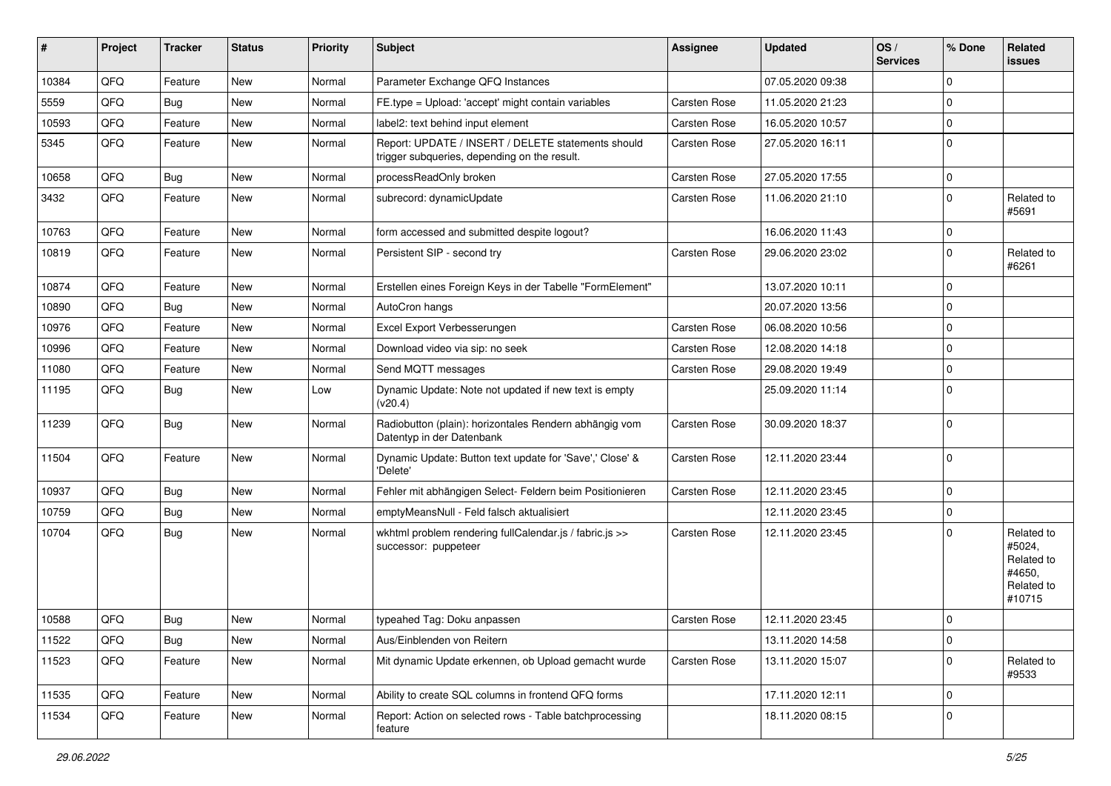| #     | Project | <b>Tracker</b> | <b>Status</b> | <b>Priority</b> | <b>Subject</b>                                                                                     | <b>Assignee</b>     | <b>Updated</b>   | OS/<br><b>Services</b> | % Done         | Related<br><b>issues</b>                                             |
|-------|---------|----------------|---------------|-----------------|----------------------------------------------------------------------------------------------------|---------------------|------------------|------------------------|----------------|----------------------------------------------------------------------|
| 10384 | QFQ     | Feature        | New           | Normal          | Parameter Exchange QFQ Instances                                                                   |                     | 07.05.2020 09:38 |                        | $\Omega$       |                                                                      |
| 5559  | QFQ     | <b>Bug</b>     | New           | Normal          | FE.type = Upload: 'accept' might contain variables                                                 | Carsten Rose        | 11.05.2020 21:23 |                        | $\mathbf 0$    |                                                                      |
| 10593 | QFQ     | Feature        | New           | Normal          | label2: text behind input element                                                                  | Carsten Rose        | 16.05.2020 10:57 |                        | $\mathbf 0$    |                                                                      |
| 5345  | QFQ     | Feature        | New           | Normal          | Report: UPDATE / INSERT / DELETE statements should<br>trigger subqueries, depending on the result. | Carsten Rose        | 27.05.2020 16:11 |                        | $\Omega$       |                                                                      |
| 10658 | QFQ     | <b>Bug</b>     | New           | Normal          | processReadOnly broken                                                                             | Carsten Rose        | 27.05.2020 17:55 |                        | $\mathbf 0$    |                                                                      |
| 3432  | QFQ     | Feature        | <b>New</b>    | Normal          | subrecord: dynamicUpdate                                                                           | Carsten Rose        | 11.06.2020 21:10 |                        | $\mathbf 0$    | Related to<br>#5691                                                  |
| 10763 | QFQ     | Feature        | <b>New</b>    | Normal          | form accessed and submitted despite logout?                                                        |                     | 16.06.2020 11:43 |                        | $\mathbf 0$    |                                                                      |
| 10819 | QFQ     | Feature        | New           | Normal          | Persistent SIP - second try                                                                        | Carsten Rose        | 29.06.2020 23:02 |                        | $\overline{0}$ | Related to<br>#6261                                                  |
| 10874 | QFQ     | Feature        | New           | Normal          | Erstellen eines Foreign Keys in der Tabelle "FormElement"                                          |                     | 13.07.2020 10:11 |                        | $\mathbf 0$    |                                                                      |
| 10890 | QFQ     | Bug            | New           | Normal          | AutoCron hangs                                                                                     |                     | 20.07.2020 13:56 |                        | $\mathbf 0$    |                                                                      |
| 10976 | QFQ     | Feature        | New           | Normal          | Excel Export Verbesserungen                                                                        | Carsten Rose        | 06.08.2020 10:56 |                        | $\mathbf 0$    |                                                                      |
| 10996 | QFQ     | Feature        | New           | Normal          | Download video via sip: no seek                                                                    | Carsten Rose        | 12.08.2020 14:18 |                        | $\mathbf 0$    |                                                                      |
| 11080 | QFQ     | Feature        | <b>New</b>    | Normal          | Send MQTT messages                                                                                 | Carsten Rose        | 29.08.2020 19:49 |                        | $\mathbf 0$    |                                                                      |
| 11195 | QFQ     | <b>Bug</b>     | New           | Low             | Dynamic Update: Note not updated if new text is empty<br>(v20.4)                                   |                     | 25.09.2020 11:14 |                        | $\Omega$       |                                                                      |
| 11239 | QFQ     | Bug            | New           | Normal          | Radiobutton (plain): horizontales Rendern abhängig vom<br>Datentyp in der Datenbank                | Carsten Rose        | 30.09.2020 18:37 |                        | $\mathbf 0$    |                                                                      |
| 11504 | QFQ     | Feature        | New           | Normal          | Dynamic Update: Button text update for 'Save',' Close' &<br>'Delete'                               | Carsten Rose        | 12.11.2020 23:44 |                        | $\Omega$       |                                                                      |
| 10937 | QFQ     | Bug            | New           | Normal          | Fehler mit abhängigen Select- Feldern beim Positionieren                                           | <b>Carsten Rose</b> | 12.11.2020 23:45 |                        | $\mathbf 0$    |                                                                      |
| 10759 | QFQ     | Bug            | New           | Normal          | emptyMeansNull - Feld falsch aktualisiert                                                          |                     | 12.11.2020 23:45 |                        | 0              |                                                                      |
| 10704 | QFQ     | Bug            | New           | Normal          | wkhtml problem rendering fullCalendar.js / fabric.js >><br>successor: puppeteer                    | Carsten Rose        | 12.11.2020 23:45 |                        | $\Omega$       | Related to<br>#5024,<br>Related to<br>#4650,<br>Related to<br>#10715 |
| 10588 | QFQ     | <b>Bug</b>     | New           | Normal          | typeahed Tag: Doku anpassen                                                                        | Carsten Rose        | 12.11.2020 23:45 |                        | 0              |                                                                      |
| 11522 | QFQ     | Bug            | New           | Normal          | Aus/Einblenden von Reitern                                                                         |                     | 13.11.2020 14:58 |                        | $\mathbf 0$    |                                                                      |
| 11523 | QFQ     | Feature        | New           | Normal          | Mit dynamic Update erkennen, ob Upload gemacht wurde                                               | Carsten Rose        | 13.11.2020 15:07 |                        | $\mathbf 0$    | Related to<br>#9533                                                  |
| 11535 | QFQ     | Feature        | New           | Normal          | Ability to create SQL columns in frontend QFQ forms                                                |                     | 17.11.2020 12:11 |                        | 0              |                                                                      |
| 11534 | QFQ     | Feature        | New           | Normal          | Report: Action on selected rows - Table batchprocessing<br>feature                                 |                     | 18.11.2020 08:15 |                        | $\mathbf 0$    |                                                                      |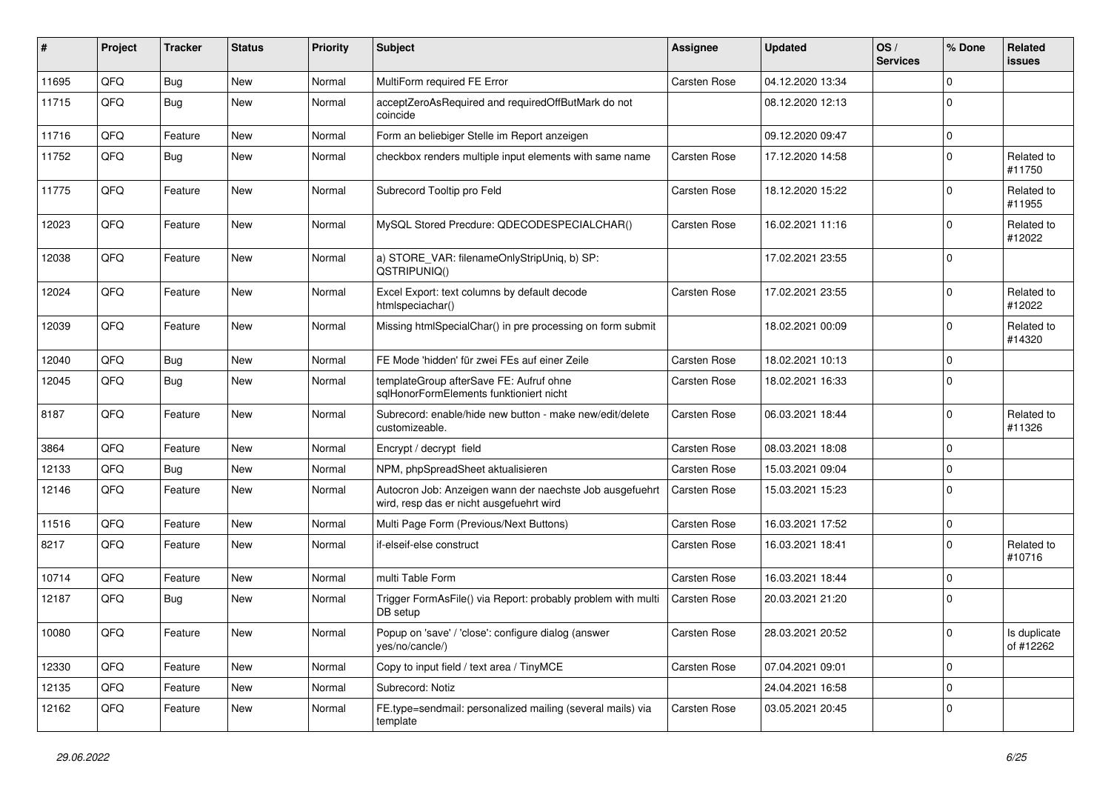| ∦     | Project | <b>Tracker</b> | <b>Status</b> | <b>Priority</b> | Subject                                                                                              | <b>Assignee</b>     | <b>Updated</b>   | OS/<br><b>Services</b> | % Done      | Related<br><b>issues</b>  |
|-------|---------|----------------|---------------|-----------------|------------------------------------------------------------------------------------------------------|---------------------|------------------|------------------------|-------------|---------------------------|
| 11695 | QFQ     | Bug            | New           | Normal          | MultiForm required FE Error                                                                          | Carsten Rose        | 04.12.2020 13:34 |                        | $\mathbf 0$ |                           |
| 11715 | QFQ     | Bug            | <b>New</b>    | Normal          | acceptZeroAsRequired and requiredOffButMark do not<br>coincide                                       |                     | 08.12.2020 12:13 |                        | $\Omega$    |                           |
| 11716 | QFQ     | Feature        | <b>New</b>    | Normal          | Form an beliebiger Stelle im Report anzeigen                                                         |                     | 09.12.2020 09:47 |                        | $\pmb{0}$   |                           |
| 11752 | QFQ     | Bug            | <b>New</b>    | Normal          | checkbox renders multiple input elements with same name                                              | Carsten Rose        | 17.12.2020 14:58 |                        | $\mathbf 0$ | Related to<br>#11750      |
| 11775 | QFQ     | Feature        | New           | Normal          | Subrecord Tooltip pro Feld                                                                           | Carsten Rose        | 18.12.2020 15:22 |                        | $\mathbf 0$ | Related to<br>#11955      |
| 12023 | QFQ     | Feature        | <b>New</b>    | Normal          | MySQL Stored Precdure: QDECODESPECIALCHAR()                                                          | Carsten Rose        | 16.02.2021 11:16 |                        | $\Omega$    | Related to<br>#12022      |
| 12038 | QFQ     | Feature        | <b>New</b>    | Normal          | a) STORE_VAR: filenameOnlyStripUniq, b) SP:<br>QSTRIPUNIQ()                                          |                     | 17.02.2021 23:55 |                        | $\mathbf 0$ |                           |
| 12024 | QFQ     | Feature        | <b>New</b>    | Normal          | Excel Export: text columns by default decode<br>htmlspeciachar()                                     | Carsten Rose        | 17.02.2021 23:55 |                        | $\Omega$    | Related to<br>#12022      |
| 12039 | QFQ     | Feature        | New           | Normal          | Missing htmlSpecialChar() in pre processing on form submit                                           |                     | 18.02.2021 00:09 |                        | $\mathbf 0$ | Related to<br>#14320      |
| 12040 | QFQ     | Bug            | <b>New</b>    | Normal          | FE Mode 'hidden' für zwei FEs auf einer Zeile                                                        | <b>Carsten Rose</b> | 18.02.2021 10:13 |                        | $\mathbf 0$ |                           |
| 12045 | QFQ     | Bug            | <b>New</b>    | Normal          | templateGroup afterSave FE: Aufruf ohne<br>sglHonorFormElements funktioniert nicht                   | <b>Carsten Rose</b> | 18.02.2021 16:33 |                        | $\mathbf 0$ |                           |
| 8187  | QFQ     | Feature        | <b>New</b>    | Normal          | Subrecord: enable/hide new button - make new/edit/delete<br>customizeable.                           | Carsten Rose        | 06.03.2021 18:44 |                        | $\mathbf 0$ | Related to<br>#11326      |
| 3864  | QFQ     | Feature        | <b>New</b>    | Normal          | Encrypt / decrypt field                                                                              | Carsten Rose        | 08.03.2021 18:08 |                        | $\mathbf 0$ |                           |
| 12133 | QFQ     | Bug            | New           | Normal          | NPM, phpSpreadSheet aktualisieren                                                                    | Carsten Rose        | 15.03.2021 09:04 |                        | $\mathbf 0$ |                           |
| 12146 | QFQ     | Feature        | New           | Normal          | Autocron Job: Anzeigen wann der naechste Job ausgefuehrt<br>wird, resp das er nicht ausgefuehrt wird | Carsten Rose        | 15.03.2021 15:23 |                        | $\Omega$    |                           |
| 11516 | QFQ     | Feature        | <b>New</b>    | Normal          | Multi Page Form (Previous/Next Buttons)                                                              | Carsten Rose        | 16.03.2021 17:52 |                        | $\mathbf 0$ |                           |
| 8217  | QFQ     | Feature        | New           | Normal          | if-elseif-else construct                                                                             | Carsten Rose        | 16.03.2021 18:41 |                        | $\mathbf 0$ | Related to<br>#10716      |
| 10714 | QFQ     | Feature        | <b>New</b>    | Normal          | multi Table Form                                                                                     | Carsten Rose        | 16.03.2021 18:44 |                        | $\mathbf 0$ |                           |
| 12187 | QFQ     | Bug            | <b>New</b>    | Normal          | Trigger FormAsFile() via Report: probably problem with multi<br>DB setup                             | Carsten Rose        | 20.03.2021 21:20 |                        | $\mathbf 0$ |                           |
| 10080 | QFQ     | Feature        | New           | Normal          | Popup on 'save' / 'close': configure dialog (answer<br>yes/no/cancle/)                               | Carsten Rose        | 28.03.2021 20:52 |                        | 0           | Is duplicate<br>of #12262 |
| 12330 | QFQ     | Feature        | New           | Normal          | Copy to input field / text area / TinyMCE                                                            | Carsten Rose        | 07.04.2021 09:01 |                        | $\mathbf 0$ |                           |
| 12135 | QFQ     | Feature        | New           | Normal          | Subrecord: Notiz                                                                                     |                     | 24.04.2021 16:58 |                        | $\mathbf 0$ |                           |
| 12162 | QFQ     | Feature        | New           | Normal          | FE.type=sendmail: personalized mailing (several mails) via<br>template                               | Carsten Rose        | 03.05.2021 20:45 |                        | $\mathbf 0$ |                           |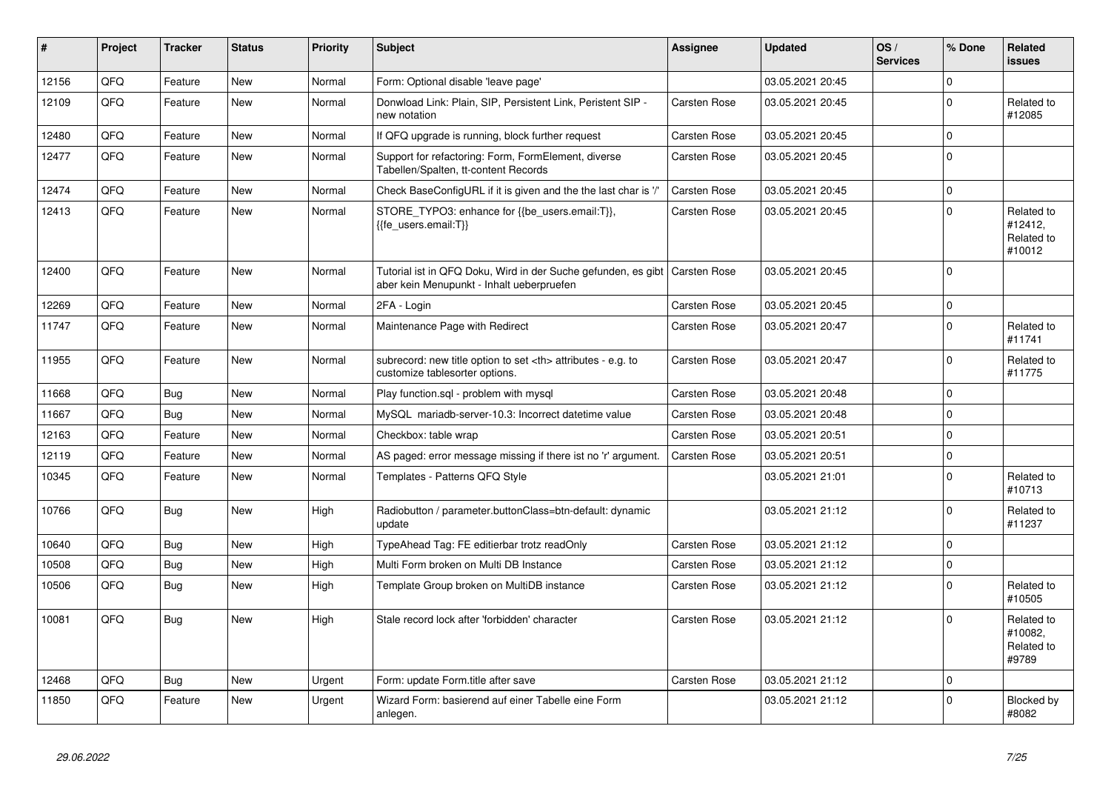| #     | Project | <b>Tracker</b> | <b>Status</b> | <b>Priority</b> | <b>Subject</b>                                                                                             | Assignee                                               | <b>Updated</b>   | OS/<br><b>Services</b> | % Done       | Related<br><b>issues</b>                      |                      |
|-------|---------|----------------|---------------|-----------------|------------------------------------------------------------------------------------------------------------|--------------------------------------------------------|------------------|------------------------|--------------|-----------------------------------------------|----------------------|
| 12156 | QFQ     | Feature        | <b>New</b>    | Normal          | Form: Optional disable 'leave page'                                                                        |                                                        | 03.05.2021 20:45 |                        | $\Omega$     |                                               |                      |
| 12109 | QFQ     | Feature        | <b>New</b>    | Normal          | Donwload Link: Plain, SIP, Persistent Link, Peristent SIP -<br>new notation                                | Carsten Rose                                           | 03.05.2021 20:45 |                        | $\Omega$     | Related to<br>#12085                          |                      |
| 12480 | QFQ     | Feature        | <b>New</b>    | Normal          | If QFQ upgrade is running, block further request                                                           | Carsten Rose                                           | 03.05.2021 20:45 |                        | $\mathbf{0}$ |                                               |                      |
| 12477 | QFQ     | Feature        | <b>New</b>    | Normal          | Support for refactoring: Form, FormElement, diverse<br>Tabellen/Spalten, tt-content Records                | Carsten Rose                                           | 03.05.2021 20:45 |                        | $\mathsf 0$  |                                               |                      |
| 12474 | QFQ     | Feature        | <b>New</b>    | Normal          | Check BaseConfigURL if it is given and the the last char is '/'                                            | Carsten Rose                                           | 03.05.2021 20:45 |                        | $\mathbf{0}$ |                                               |                      |
| 12413 | QFQ     | Feature        | New           | Normal          | STORE TYPO3: enhance for {{be users.email:T}},<br>{{fe users.email:T}}                                     | Carsten Rose                                           | 03.05.2021 20:45 |                        | $\mathbf 0$  | Related to<br>#12412,<br>Related to<br>#10012 |                      |
| 12400 | QFQ     | Feature        | <b>New</b>    | Normal          | Tutorial ist in QFQ Doku, Wird in der Suche gefunden, es gibt<br>aber kein Menupunkt - Inhalt ueberpruefen | <b>Carsten Rose</b>                                    | 03.05.2021 20:45 |                        | $\mathbf{0}$ |                                               |                      |
| 12269 | QFQ     | Feature        | New           | Normal          | 2FA - Login                                                                                                | Carsten Rose                                           | 03.05.2021 20:45 |                        | $\pmb{0}$    |                                               |                      |
| 11747 | QFQ     | Feature        | <b>New</b>    | Normal          | Maintenance Page with Redirect                                                                             | Carsten Rose                                           | 03.05.2021 20:47 |                        | $\mathbf{0}$ | Related to<br>#11741                          |                      |
| 11955 | QFQ     | Feature        | <b>New</b>    | Normal          | subrecord: new title option to set <th> attributes - e.g. to<br/>customize tablesorter options.</th>       | attributes - e.g. to<br>customize tablesorter options. | Carsten Rose     | 03.05.2021 20:47       |              | $\Omega$                                      | Related to<br>#11775 |
| 11668 | QFQ     | <b>Bug</b>     | <b>New</b>    | Normal          | Play function.sql - problem with mysql                                                                     | Carsten Rose                                           | 03.05.2021 20:48 |                        | $\Omega$     |                                               |                      |
| 11667 | QFQ     | <b>Bug</b>     | <b>New</b>    | Normal          | MySQL mariadb-server-10.3: Incorrect datetime value                                                        | Carsten Rose                                           | 03.05.2021 20:48 |                        | $\mathbf{0}$ |                                               |                      |
| 12163 | QFQ     | Feature        | <b>New</b>    | Normal          | Checkbox: table wrap                                                                                       | Carsten Rose                                           | 03.05.2021 20:51 |                        | $\mathbf 0$  |                                               |                      |
| 12119 | QFQ     | Feature        | <b>New</b>    | Normal          | AS paged: error message missing if there ist no 'r' argument.                                              | Carsten Rose                                           | 03.05.2021 20:51 |                        | $\mathsf 0$  |                                               |                      |
| 10345 | QFQ     | Feature        | <b>New</b>    | Normal          | Templates - Patterns QFQ Style                                                                             |                                                        | 03.05.2021 21:01 |                        | $\mathbf{0}$ | Related to<br>#10713                          |                      |
| 10766 | QFQ     | <b>Bug</b>     | <b>New</b>    | High            | Radiobutton / parameter.buttonClass=btn-default: dynamic<br>update                                         |                                                        | 03.05.2021 21:12 |                        | $\mathbf 0$  | Related to<br>#11237                          |                      |
| 10640 | QFQ     | Bug            | New           | High            | TypeAhead Tag: FE editierbar trotz readOnly                                                                | Carsten Rose                                           | 03.05.2021 21:12 |                        | $\mathbf{0}$ |                                               |                      |
| 10508 | QFQ     | Bug            | <b>New</b>    | High            | Multi Form broken on Multi DB Instance                                                                     | <b>Carsten Rose</b>                                    | 03.05.2021 21:12 |                        | $\pmb{0}$    |                                               |                      |
| 10506 | QFQ     | <b>Bug</b>     | New           | High            | Template Group broken on MultiDB instance                                                                  | Carsten Rose                                           | 03.05.2021 21:12 |                        | $\Omega$     | Related to<br>#10505                          |                      |
| 10081 | QFQ     | <b>Bug</b>     | <b>New</b>    | High            | Stale record lock after 'forbidden' character                                                              | <b>Carsten Rose</b>                                    | 03.05.2021 21:12 |                        | $\mathbf{0}$ | Related to<br>#10082,<br>Related to<br>#9789  |                      |
| 12468 | QFQ     | Bug            | <b>New</b>    | Urgent          | Form: update Form.title after save                                                                         | <b>Carsten Rose</b>                                    | 03.05.2021 21:12 |                        | $\mathbf 0$  |                                               |                      |
| 11850 | QFQ     | Feature        | New           | Urgent          | Wizard Form: basierend auf einer Tabelle eine Form<br>anlegen.                                             |                                                        | 03.05.2021 21:12 |                        | $\Omega$     | Blocked by<br>#8082                           |                      |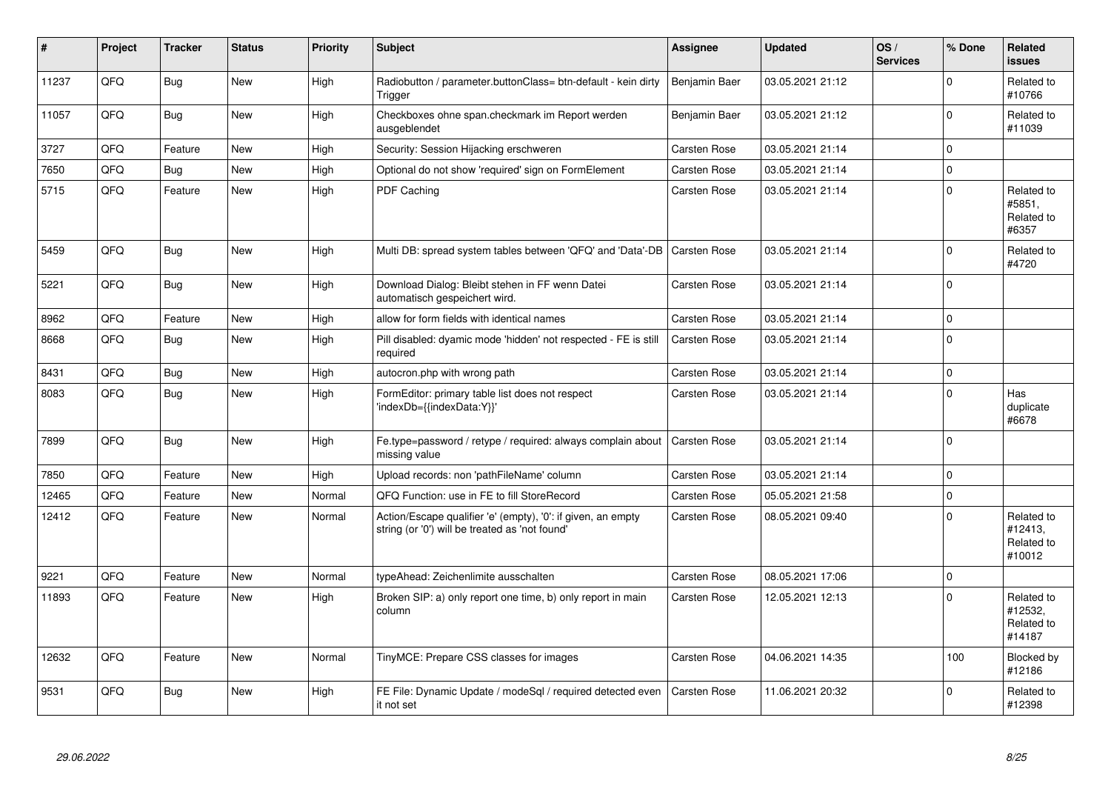| #     | <b>Project</b> | <b>Tracker</b> | <b>Status</b> | <b>Priority</b> | <b>Subject</b>                                                                                                 | Assignee            | <b>Updated</b>   | OS/<br><b>Services</b> | % Done      | Related<br><b>issues</b>                      |
|-------|----------------|----------------|---------------|-----------------|----------------------------------------------------------------------------------------------------------------|---------------------|------------------|------------------------|-------------|-----------------------------------------------|
| 11237 | QFQ            | Bug            | New           | High            | Radiobutton / parameter.buttonClass= btn-default - kein dirty<br>Trigger                                       | Benjamin Baer       | 03.05.2021 21:12 |                        | $\Omega$    | Related to<br>#10766                          |
| 11057 | QFQ            | Bug            | New           | High            | Checkboxes ohne span.checkmark im Report werden<br>ausgeblendet                                                | Benjamin Baer       | 03.05.2021 21:12 |                        | $\Omega$    | Related to<br>#11039                          |
| 3727  | QFQ            | Feature        | <b>New</b>    | High            | Security: Session Hijacking erschweren                                                                         | Carsten Rose        | 03.05.2021 21:14 |                        | $\mathbf 0$ |                                               |
| 7650  | QFQ            | <b>Bug</b>     | <b>New</b>    | High            | Optional do not show 'required' sign on FormElement                                                            | Carsten Rose        | 03.05.2021 21:14 |                        | $\Omega$    |                                               |
| 5715  | QFQ            | Feature        | New           | High            | <b>PDF Caching</b>                                                                                             | <b>Carsten Rose</b> | 03.05.2021 21:14 |                        | $\pmb{0}$   | Related to<br>#5851,<br>Related to<br>#6357   |
| 5459  | QFQ            | Bug            | New           | High            | Multi DB: spread system tables between 'QFQ' and 'Data'-DB                                                     | <b>Carsten Rose</b> | 03.05.2021 21:14 |                        | $\mathbf 0$ | Related to<br>#4720                           |
| 5221  | QFQ            | Bug            | <b>New</b>    | High            | Download Dialog: Bleibt stehen in FF wenn Datei<br>automatisch gespeichert wird.                               | Carsten Rose        | 03.05.2021 21:14 |                        | $\Omega$    |                                               |
| 8962  | QFQ            | Feature        | <b>New</b>    | High            | allow for form fields with identical names                                                                     | Carsten Rose        | 03.05.2021 21:14 |                        | $\mathbf 0$ |                                               |
| 8668  | QFQ            | Bug            | New           | High            | Pill disabled: dyamic mode 'hidden' not respected - FE is still<br>required                                    | Carsten Rose        | 03.05.2021 21:14 |                        | $\Omega$    |                                               |
| 8431  | QFQ            | Bug            | <b>New</b>    | High            | autocron.php with wrong path                                                                                   | <b>Carsten Rose</b> | 03.05.2021 21:14 |                        | $\Omega$    |                                               |
| 8083  | QFQ            | Bug            | New           | High            | FormEditor: primary table list does not respect<br>'indexDb={{indexData:Y}}'                                   | Carsten Rose        | 03.05.2021 21:14 |                        | $\mathbf 0$ | Has<br>duplicate<br>#6678                     |
| 7899  | QFQ            | Bug            | <b>New</b>    | High            | Fe.type=password / retype / required: always complain about<br>missing value                                   | Carsten Rose        | 03.05.2021 21:14 |                        | $\pmb{0}$   |                                               |
| 7850  | QFQ            | Feature        | <b>New</b>    | High            | Upload records: non 'pathFileName' column                                                                      | <b>Carsten Rose</b> | 03.05.2021 21:14 |                        | $\mathbf 0$ |                                               |
| 12465 | QFQ            | Feature        | <b>New</b>    | Normal          | QFQ Function: use in FE to fill StoreRecord                                                                    | <b>Carsten Rose</b> | 05.05.2021 21:58 |                        | $\mathbf 0$ |                                               |
| 12412 | QFQ            | Feature        | <b>New</b>    | Normal          | Action/Escape qualifier 'e' (empty), '0': if given, an empty<br>string (or '0') will be treated as 'not found' | Carsten Rose        | 08.05.2021 09:40 |                        | $\Omega$    | Related to<br>#12413,<br>Related to<br>#10012 |
| 9221  | QFQ            | Feature        | <b>New</b>    | Normal          | typeAhead: Zeichenlimite ausschalten                                                                           | <b>Carsten Rose</b> | 08.05.2021 17:06 |                        | $\mathbf 0$ |                                               |
| 11893 | QFQ            | Feature        | New           | High            | Broken SIP: a) only report one time, b) only report in main<br>column                                          | Carsten Rose        | 12.05.2021 12:13 |                        | $\Omega$    | Related to<br>#12532,<br>Related to<br>#14187 |
| 12632 | QFQ            | Feature        | <b>New</b>    | Normal          | TinyMCE: Prepare CSS classes for images                                                                        | Carsten Rose        | 04.06.2021 14:35 |                        | 100         | Blocked by<br>#12186                          |
| 9531  | QFQ            | Bug            | <b>New</b>    | High            | FE File: Dynamic Update / modeSgl / required detected even<br>it not set                                       | <b>Carsten Rose</b> | 11.06.2021 20:32 |                        | $\Omega$    | Related to<br>#12398                          |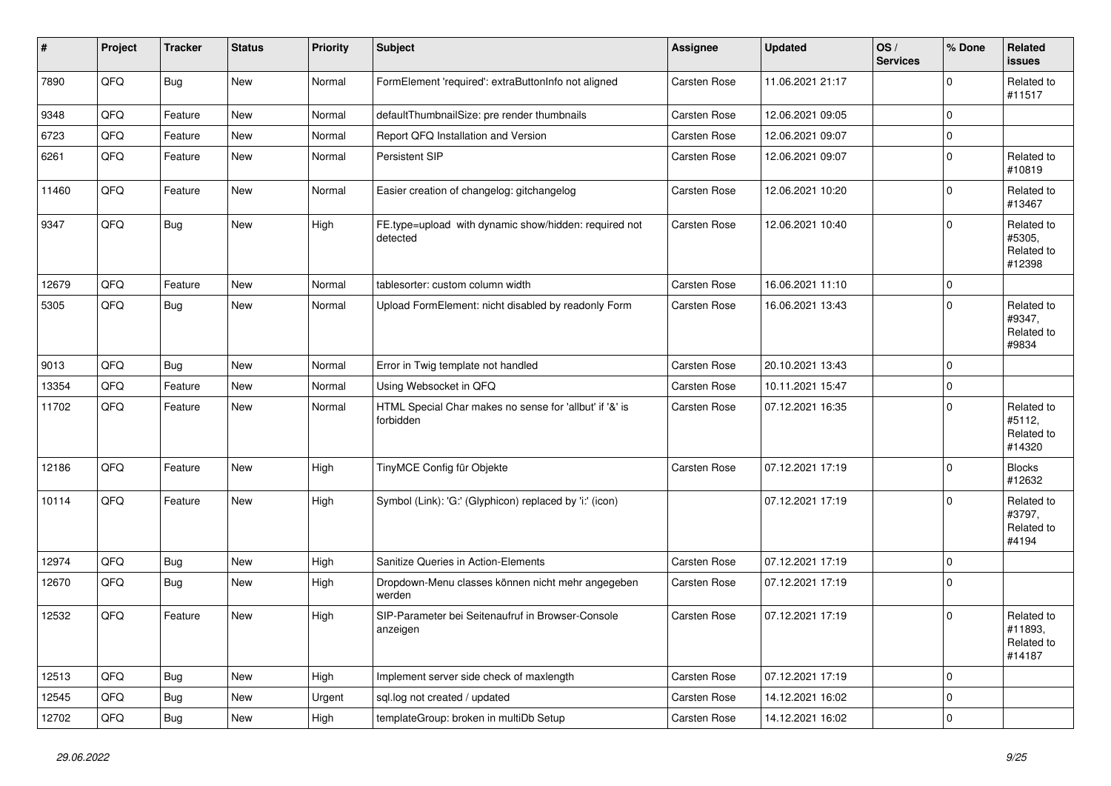| $\vert$ # | Project | <b>Tracker</b> | <b>Status</b> | <b>Priority</b> | <b>Subject</b>                                                       | Assignee            | <b>Updated</b>   | OS/<br><b>Services</b> | % Done      | <b>Related</b><br><b>issues</b>               |
|-----------|---------|----------------|---------------|-----------------|----------------------------------------------------------------------|---------------------|------------------|------------------------|-------------|-----------------------------------------------|
| 7890      | QFQ     | <b>Bug</b>     | <b>New</b>    | Normal          | FormElement 'required': extraButtonInfo not aligned                  | Carsten Rose        | 11.06.2021 21:17 |                        | $\Omega$    | Related to<br>#11517                          |
| 9348      | QFQ     | Feature        | New           | Normal          | defaultThumbnailSize: pre render thumbnails                          | Carsten Rose        | 12.06.2021 09:05 |                        | 0           |                                               |
| 6723      | QFQ     | Feature        | New           | Normal          | Report QFQ Installation and Version                                  | Carsten Rose        | 12.06.2021 09:07 |                        | $\pmb{0}$   |                                               |
| 6261      | QFQ     | Feature        | New           | Normal          | Persistent SIP                                                       | Carsten Rose        | 12.06.2021 09:07 |                        | $\mathbf 0$ | Related to<br>#10819                          |
| 11460     | QFQ     | Feature        | <b>New</b>    | Normal          | Easier creation of changelog: gitchangelog                           | Carsten Rose        | 12.06.2021 10:20 |                        | $\mathbf 0$ | Related to<br>#13467                          |
| 9347      | QFQ     | Bug            | New           | High            | FE.type=upload with dynamic show/hidden: required not<br>detected    | Carsten Rose        | 12.06.2021 10:40 |                        | $\Omega$    | Related to<br>#5305.<br>Related to<br>#12398  |
| 12679     | QFQ     | Feature        | <b>New</b>    | Normal          | tablesorter: custom column width                                     | <b>Carsten Rose</b> | 16.06.2021 11:10 |                        | $\mathsf 0$ |                                               |
| 5305      | QFQ     | Bug            | <b>New</b>    | Normal          | Upload FormElement: nicht disabled by readonly Form                  | Carsten Rose        | 16.06.2021 13:43 |                        | $\mathbf 0$ | Related to<br>#9347,<br>Related to<br>#9834   |
| 9013      | QFQ     | Bug            | <b>New</b>    | Normal          | Error in Twig template not handled                                   | Carsten Rose        | 20.10.2021 13:43 |                        | 0           |                                               |
| 13354     | QFQ     | Feature        | <b>New</b>    | Normal          | Using Websocket in QFQ                                               | <b>Carsten Rose</b> | 10.11.2021 15:47 |                        | $\mathbf 0$ |                                               |
| 11702     | QFQ     | Feature        | <b>New</b>    | Normal          | HTML Special Char makes no sense for 'allbut' if '&' is<br>forbidden | Carsten Rose        | 07.12.2021 16:35 |                        | $\mathbf 0$ | Related to<br>#5112,<br>Related to<br>#14320  |
| 12186     | QFQ     | Feature        | <b>New</b>    | High            | TinyMCE Config für Objekte                                           | Carsten Rose        | 07.12.2021 17:19 |                        | $\pmb{0}$   | <b>Blocks</b><br>#12632                       |
| 10114     | QFQ     | Feature        | <b>New</b>    | High            | Symbol (Link): 'G:' (Glyphicon) replaced by 'i:' (icon)              |                     | 07.12.2021 17:19 |                        | $\Omega$    | Related to<br>#3797,<br>Related to<br>#4194   |
| 12974     | QFQ     | <b>Bug</b>     | <b>New</b>    | High            | Sanitize Queries in Action-Elements                                  | Carsten Rose        | 07.12.2021 17:19 |                        | $\Omega$    |                                               |
| 12670     | QFQ     | <b>Bug</b>     | <b>New</b>    | High            | Dropdown-Menu classes können nicht mehr angegeben<br>werden          | Carsten Rose        | 07.12.2021 17:19 |                        | $\mathbf 0$ |                                               |
| 12532     | QFQ     | Feature        | New           | High            | SIP-Parameter bei Seitenaufruf in Browser-Console<br>anzeigen        | Carsten Rose        | 07.12.2021 17:19 |                        | $\Omega$    | Related to<br>#11893,<br>Related to<br>#14187 |
| 12513     | QFQ     | <b>Bug</b>     | <b>New</b>    | High            | Implement server side check of maxlength                             | Carsten Rose        | 07.12.2021 17:19 |                        | 0           |                                               |
| 12545     | QFQ     | Bug            | <b>New</b>    | Urgent          | sql.log not created / updated                                        | Carsten Rose        | 14.12.2021 16:02 |                        | 0           |                                               |
| 12702     | QFQ     | Bug            | New           | High            | templateGroup: broken in multiDb Setup                               | Carsten Rose        | 14.12.2021 16:02 |                        | $\mathbf 0$ |                                               |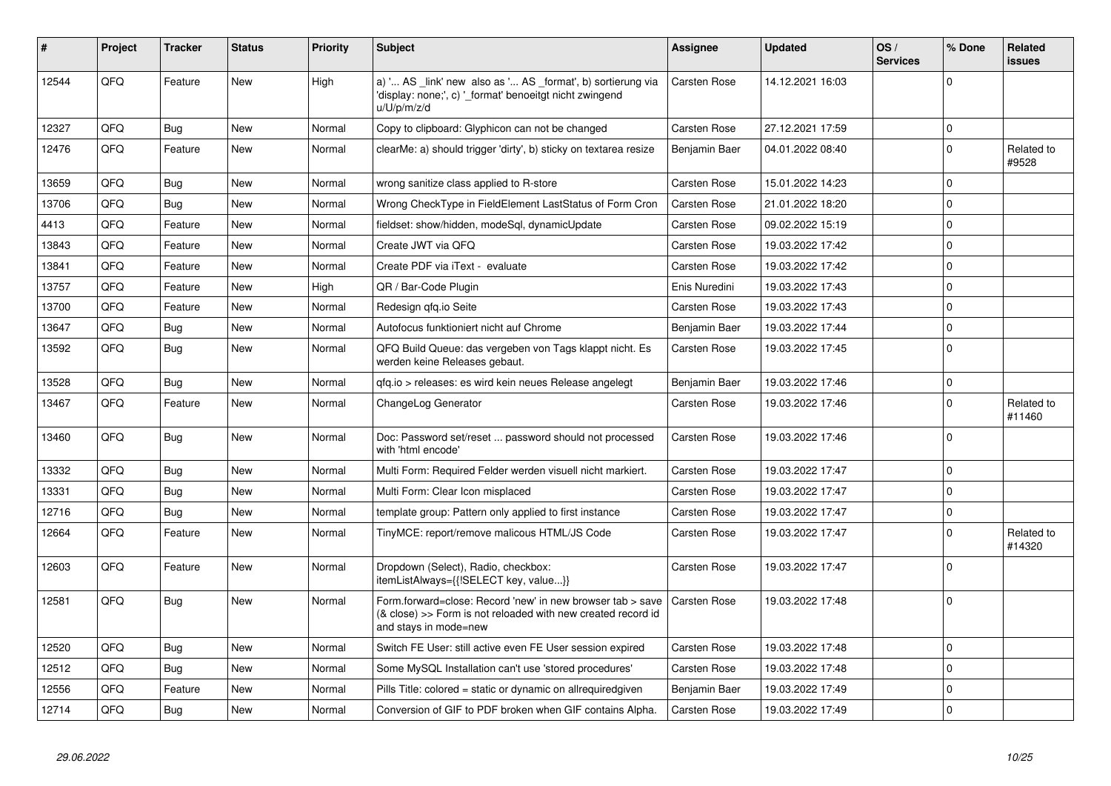| #     | Project | <b>Tracker</b> | <b>Status</b> | <b>Priority</b> | <b>Subject</b>                                                                                                                                      | Assignee            | <b>Updated</b>   | OS/<br><b>Services</b> | % Done      | Related<br>issues    |
|-------|---------|----------------|---------------|-----------------|-----------------------------------------------------------------------------------------------------------------------------------------------------|---------------------|------------------|------------------------|-------------|----------------------|
| 12544 | QFQ     | Feature        | New           | High            | a) ' AS _link' new also as ' AS _format', b) sortierung via<br>'display: none;', c) '_format' benoeitgt nicht zwingend<br>u/U/p/m/z/d               | <b>Carsten Rose</b> | 14.12.2021 16:03 |                        | 0           |                      |
| 12327 | QFQ     | <b>Bug</b>     | <b>New</b>    | Normal          | Copy to clipboard: Glyphicon can not be changed                                                                                                     | Carsten Rose        | 27.12.2021 17:59 |                        | 0           |                      |
| 12476 | QFQ     | Feature        | <b>New</b>    | Normal          | clearMe: a) should trigger 'dirty', b) sticky on textarea resize                                                                                    | Benjamin Baer       | 04.01.2022 08:40 |                        | $\Omega$    | Related to<br>#9528  |
| 13659 | QFQ     | Bug            | <b>New</b>    | Normal          | wrong sanitize class applied to R-store                                                                                                             | Carsten Rose        | 15.01.2022 14:23 |                        | 0           |                      |
| 13706 | QFQ     | <b>Bug</b>     | <b>New</b>    | Normal          | Wrong CheckType in FieldElement LastStatus of Form Cron                                                                                             | Carsten Rose        | 21.01.2022 18:20 |                        | $\Omega$    |                      |
| 4413  | QFQ     | Feature        | <b>New</b>    | Normal          | fieldset: show/hidden, modeSql, dynamicUpdate                                                                                                       | Carsten Rose        | 09.02.2022 15:19 |                        | 0           |                      |
| 13843 | QFQ     | Feature        | <b>New</b>    | Normal          | Create JWT via QFQ                                                                                                                                  | Carsten Rose        | 19.03.2022 17:42 |                        | $\Omega$    |                      |
| 13841 | QFQ     | Feature        | New           | Normal          | Create PDF via iText - evaluate                                                                                                                     | Carsten Rose        | 19.03.2022 17:42 |                        | 0           |                      |
| 13757 | QFQ     | Feature        | <b>New</b>    | High            | QR / Bar-Code Plugin                                                                                                                                | Enis Nuredini       | 19.03.2022 17:43 |                        | $\mathbf 0$ |                      |
| 13700 | QFQ     | Feature        | <b>New</b>    | Normal          | Redesign qfq.io Seite                                                                                                                               | <b>Carsten Rose</b> | 19.03.2022 17:43 |                        | $\Omega$    |                      |
| 13647 | QFQ     | Bug            | <b>New</b>    | Normal          | Autofocus funktioniert nicht auf Chrome                                                                                                             | Benjamin Baer       | 19.03.2022 17:44 |                        | $\Omega$    |                      |
| 13592 | QFQ     | <b>Bug</b>     | <b>New</b>    | Normal          | QFQ Build Queue: das vergeben von Tags klappt nicht. Es<br>werden keine Releases gebaut.                                                            | Carsten Rose        | 19.03.2022 17:45 |                        | $\Omega$    |                      |
| 13528 | QFQ     | Bug            | <b>New</b>    | Normal          | qfq.io > releases: es wird kein neues Release angelegt                                                                                              | Benjamin Baer       | 19.03.2022 17:46 |                        | $\mathbf 0$ |                      |
| 13467 | QFQ     | Feature        | <b>New</b>    | Normal          | ChangeLog Generator                                                                                                                                 | Carsten Rose        | 19.03.2022 17:46 |                        | $\Omega$    | Related to<br>#11460 |
| 13460 | QFQ     | <b>Bug</b>     | <b>New</b>    | Normal          | Doc: Password set/reset  password should not processed<br>with 'html encode'                                                                        | Carsten Rose        | 19.03.2022 17:46 |                        | $\Omega$    |                      |
| 13332 | QFQ     | Bug            | New           | Normal          | Multi Form: Required Felder werden visuell nicht markiert.                                                                                          | Carsten Rose        | 19.03.2022 17:47 |                        | $\mathbf 0$ |                      |
| 13331 | QFQ     | <b>Bug</b>     | <b>New</b>    | Normal          | Multi Form: Clear Icon misplaced                                                                                                                    | Carsten Rose        | 19.03.2022 17:47 |                        | $\Omega$    |                      |
| 12716 | QFQ     | Bug            | New           | Normal          | template group: Pattern only applied to first instance                                                                                              | Carsten Rose        | 19.03.2022 17:47 |                        | 0           |                      |
| 12664 | QFQ     | Feature        | New           | Normal          | TinyMCE: report/remove malicous HTML/JS Code                                                                                                        | Carsten Rose        | 19.03.2022 17:47 |                        | 0           | Related to<br>#14320 |
| 12603 | QFQ     | Feature        | New           | Normal          | Dropdown (Select), Radio, checkbox:<br>itemListAlways={{!SELECT key, value}}                                                                        | Carsten Rose        | 19.03.2022 17:47 |                        | $\Omega$    |                      |
| 12581 | QFQ     | Bug            | New           | Normal          | Form.forward=close: Record 'new' in new browser tab > save<br>(& close) >> Form is not reloaded with new created record id<br>and stays in mode=new | <b>Carsten Rose</b> | 19.03.2022 17:48 |                        | $\mathbf 0$ |                      |
| 12520 | QFQ     | <b>Bug</b>     | <b>New</b>    | Normal          | Switch FE User: still active even FE User session expired                                                                                           | Carsten Rose        | 19.03.2022 17:48 |                        | $\Omega$    |                      |
| 12512 | QFQ     | Bug            | <b>New</b>    | Normal          | Some MySQL Installation can't use 'stored procedures'                                                                                               | Carsten Rose        | 19.03.2022 17:48 |                        | 0           |                      |
| 12556 | QFQ     | Feature        | New           | Normal          | Pills Title: colored = static or dynamic on allrequiredgiven                                                                                        | Benjamin Baer       | 19.03.2022 17:49 |                        | $\Omega$    |                      |
| 12714 | QFQ     | Bug            | <b>New</b>    | Normal          | Conversion of GIF to PDF broken when GIF contains Alpha.                                                                                            | <b>Carsten Rose</b> | 19.03.2022 17:49 |                        | $\Omega$    |                      |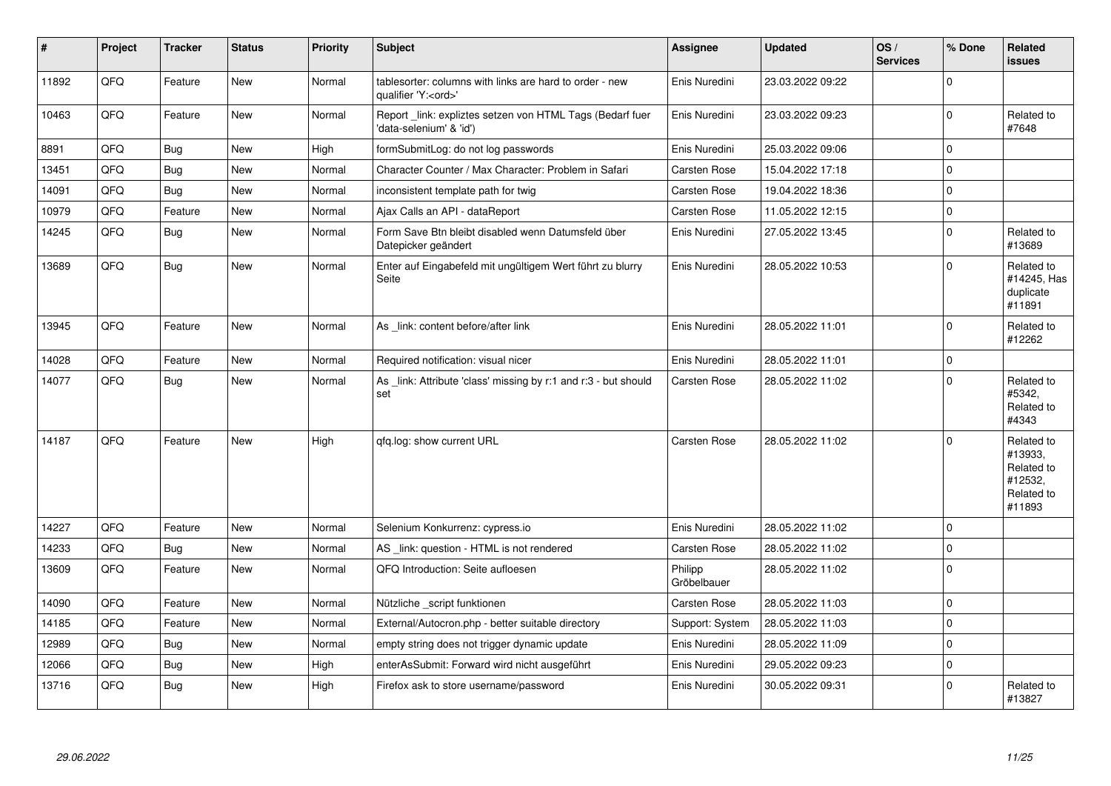| $\vert$ # | Project | <b>Tracker</b> | <b>Status</b> | <b>Priority</b> | <b>Subject</b>                                                                        | <b>Assignee</b>        | <b>Updated</b>   | OS/<br><b>Services</b> | % Done       | Related<br><b>issues</b>                                               |
|-----------|---------|----------------|---------------|-----------------|---------------------------------------------------------------------------------------|------------------------|------------------|------------------------|--------------|------------------------------------------------------------------------|
| 11892     | QFQ     | Feature        | <b>New</b>    | Normal          | tablesorter: columns with links are hard to order - new<br>qualifier 'Y: <ord>'</ord> | Enis Nuredini          | 23.03.2022 09:22 |                        | $\Omega$     |                                                                        |
| 10463     | QFQ     | Feature        | New           | Normal          | Report link: expliztes setzen von HTML Tags (Bedarf fuer<br>'data-selenium' & 'id')   | Enis Nuredini          | 23.03.2022 09:23 |                        | $\Omega$     | Related to<br>#7648                                                    |
| 8891      | QFQ     | Bug            | New           | High            | formSubmitLog: do not log passwords                                                   | Enis Nuredini          | 25.03.2022 09:06 |                        | $\mathbf 0$  |                                                                        |
| 13451     | QFQ     | Bug            | <b>New</b>    | Normal          | Character Counter / Max Character: Problem in Safari                                  | Carsten Rose           | 15.04.2022 17:18 |                        | $\mathbf 0$  |                                                                        |
| 14091     | QFQ     | Bug            | <b>New</b>    | Normal          | inconsistent template path for twig                                                   | Carsten Rose           | 19.04.2022 18:36 |                        | $\mathbf{0}$ |                                                                        |
| 10979     | QFQ     | Feature        | New           | Normal          | Ajax Calls an API - dataReport                                                        | Carsten Rose           | 11.05.2022 12:15 |                        | $\pmb{0}$    |                                                                        |
| 14245     | QFQ     | <b>Bug</b>     | <b>New</b>    | Normal          | Form Save Btn bleibt disabled wenn Datumsfeld über<br>Datepicker geändert             | Enis Nuredini          | 27.05.2022 13:45 |                        | $\mathbf{0}$ | Related to<br>#13689                                                   |
| 13689     | QFQ     | Bug            | <b>New</b>    | Normal          | Enter auf Eingabefeld mit ungültigem Wert führt zu blurry<br>Seite                    | Enis Nuredini          | 28.05.2022 10:53 |                        | $\Omega$     | Related to<br>#14245, Has<br>duplicate<br>#11891                       |
| 13945     | QFQ     | Feature        | <b>New</b>    | Normal          | As link: content before/after link                                                    | Enis Nuredini          | 28.05.2022 11:01 |                        | $\Omega$     | Related to<br>#12262                                                   |
| 14028     | QFQ     | Feature        | <b>New</b>    | Normal          | Required notification: visual nicer                                                   | Enis Nuredini          | 28.05.2022 11:01 |                        | $\pmb{0}$    |                                                                        |
| 14077     | QFQ     | <b>Bug</b>     | <b>New</b>    | Normal          | As link: Attribute 'class' missing by r:1 and r:3 - but should<br>set                 | Carsten Rose           | 28.05.2022 11:02 |                        | $\Omega$     | Related to<br>#5342.<br>Related to<br>#4343                            |
| 14187     | QFQ     | Feature        | <b>New</b>    | High            | gfg.log: show current URL                                                             | Carsten Rose           | 28.05.2022 11:02 |                        | $\mathbf{0}$ | Related to<br>#13933.<br>Related to<br>#12532,<br>Related to<br>#11893 |
| 14227     | QFQ     | Feature        | <b>New</b>    | Normal          | Selenium Konkurrenz: cypress.io                                                       | Enis Nuredini          | 28.05.2022 11:02 |                        | $\mathbf 0$  |                                                                        |
| 14233     | QFQ     | Bug            | <b>New</b>    | Normal          | AS _link: question - HTML is not rendered                                             | Carsten Rose           | 28.05.2022 11:02 |                        | $\pmb{0}$    |                                                                        |
| 13609     | QFQ     | Feature        | New           | Normal          | QFQ Introduction: Seite aufloesen                                                     | Philipp<br>Gröbelbauer | 28.05.2022 11:02 |                        | $\mathbf{0}$ |                                                                        |
| 14090     | QFQ     | Feature        | <b>New</b>    | Normal          | Nützliche script funktionen                                                           | Carsten Rose           | 28.05.2022 11:03 |                        | $\mathbf 0$  |                                                                        |
| 14185     | QFQ     | Feature        | <b>New</b>    | Normal          | External/Autocron.php - better suitable directory                                     | Support: System        | 28.05.2022 11:03 |                        | $\mathbf 0$  |                                                                        |
| 12989     | QFQ     | <b>Bug</b>     | New           | Normal          | empty string does not trigger dynamic update                                          | Enis Nuredini          | 28.05.2022 11:09 |                        | $\pmb{0}$    |                                                                        |
| 12066     | QFQ     | Bug            | <b>New</b>    | High            | enterAsSubmit: Forward wird nicht ausgeführt                                          | Enis Nuredini          | 29.05.2022 09:23 |                        | $\mathbf 0$  |                                                                        |
| 13716     | QFQ     | Bug            | New           | High            | Firefox ask to store username/password                                                | Enis Nuredini          | 30.05.2022 09:31 |                        | $\mathbf 0$  | Related to<br>#13827                                                   |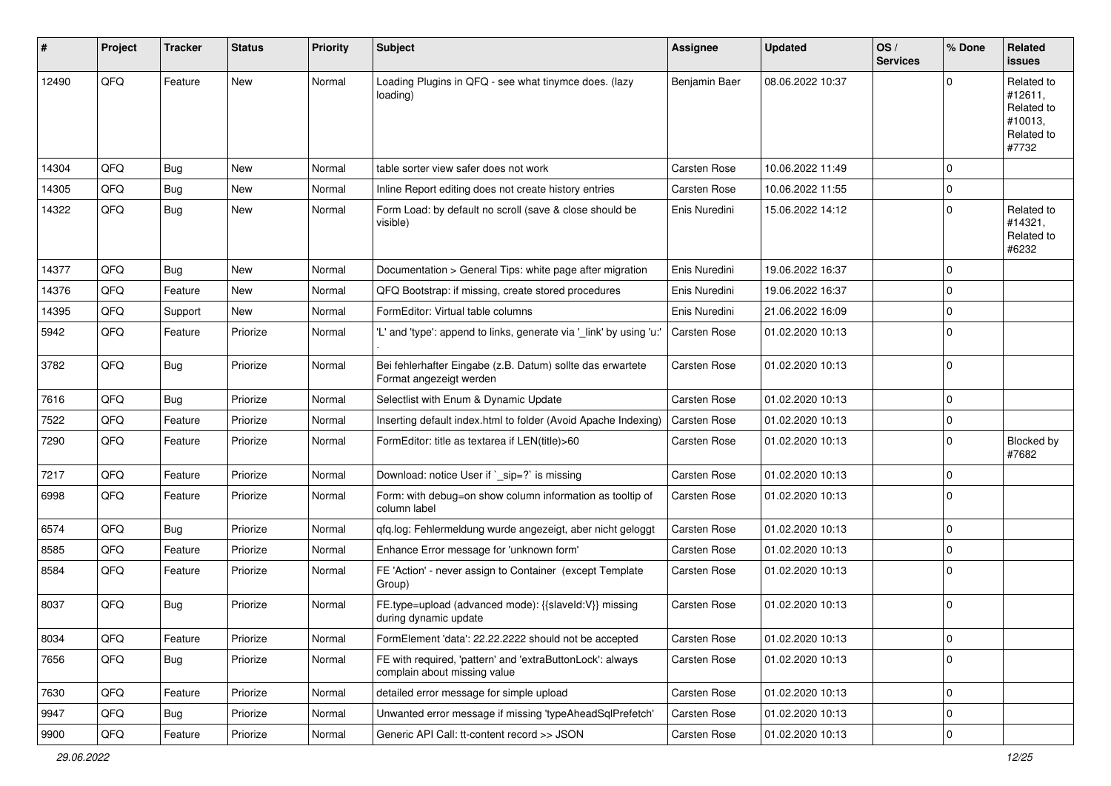| #     | Project | <b>Tracker</b> | <b>Status</b> | <b>Priority</b> | <b>Subject</b>                                                                            | Assignee            | <b>Updated</b>   | OS/<br><b>Services</b> | % Done      | Related<br><b>issues</b>                                              |
|-------|---------|----------------|---------------|-----------------|-------------------------------------------------------------------------------------------|---------------------|------------------|------------------------|-------------|-----------------------------------------------------------------------|
| 12490 | QFQ     | Feature        | <b>New</b>    | Normal          | Loading Plugins in QFQ - see what tinymce does. (lazy<br>loading)                         | Benjamin Baer       | 08.06.2022 10:37 |                        | $\Omega$    | Related to<br>#12611,<br>Related to<br>#10013,<br>Related to<br>#7732 |
| 14304 | QFQ     | Bug            | <b>New</b>    | Normal          | table sorter view safer does not work                                                     | <b>Carsten Rose</b> | 10.06.2022 11:49 |                        | $\mathbf 0$ |                                                                       |
| 14305 | QFQ     | <b>Bug</b>     | New           | Normal          | Inline Report editing does not create history entries                                     | Carsten Rose        | 10.06.2022 11:55 |                        | $\Omega$    |                                                                       |
| 14322 | QFQ     | Bug            | <b>New</b>    | Normal          | Form Load: by default no scroll (save & close should be<br>visible)                       | Enis Nuredini       | 15.06.2022 14:12 |                        | $\mathbf 0$ | Related to<br>#14321.<br>Related to<br>#6232                          |
| 14377 | QFQ     | <b>Bug</b>     | New           | Normal          | Documentation > General Tips: white page after migration                                  | Enis Nuredini       | 19.06.2022 16:37 |                        | $\mathbf 0$ |                                                                       |
| 14376 | QFQ     | Feature        | <b>New</b>    | Normal          | QFQ Bootstrap: if missing, create stored procedures                                       | Enis Nuredini       | 19.06.2022 16:37 |                        | $\Omega$    |                                                                       |
| 14395 | QFQ     | Support        | <b>New</b>    | Normal          | FormEditor: Virtual table columns                                                         | Enis Nuredini       | 21.06.2022 16:09 |                        | $\mathbf 0$ |                                                                       |
| 5942  | QFQ     | Feature        | Priorize      | Normal          | 'L' and 'type': append to links, generate via '_link' by using 'u:'                       | Carsten Rose        | 01.02.2020 10:13 |                        | $\mathbf 0$ |                                                                       |
| 3782  | QFQ     | Bug            | Priorize      | Normal          | Bei fehlerhafter Eingabe (z.B. Datum) sollte das erwartete<br>Format angezeigt werden     | Carsten Rose        | 01.02.2020 10:13 |                        | $\mathbf 0$ |                                                                       |
| 7616  | QFQ     | Bug            | Priorize      | Normal          | Selectlist with Enum & Dynamic Update                                                     | Carsten Rose        | 01.02.2020 10:13 |                        | $\mathbf 0$ |                                                                       |
| 7522  | QFQ     | Feature        | Priorize      | Normal          | Inserting default index.html to folder (Avoid Apache Indexing)                            | Carsten Rose        | 01.02.2020 10:13 |                        | $\mathbf 0$ |                                                                       |
| 7290  | QFQ     | Feature        | Priorize      | Normal          | FormEditor: title as textarea if LEN(title)>60                                            | Carsten Rose        | 01.02.2020 10:13 |                        | $\mathbf 0$ | Blocked by<br>#7682                                                   |
| 7217  | QFQ     | Feature        | Priorize      | Normal          | Download: notice User if `_sip=?` is missing                                              | Carsten Rose        | 01.02.2020 10:13 |                        | $\mathbf 0$ |                                                                       |
| 6998  | QFQ     | Feature        | Priorize      | Normal          | Form: with debug=on show column information as tooltip of<br>column label                 | Carsten Rose        | 01.02.2020 10:13 |                        | $\mathbf 0$ |                                                                       |
| 6574  | QFQ     | Bug            | Priorize      | Normal          | qfq.log: Fehlermeldung wurde angezeigt, aber nicht geloggt                                | Carsten Rose        | 01.02.2020 10:13 |                        | $\Omega$    |                                                                       |
| 8585  | QFQ     | Feature        | Priorize      | Normal          | Enhance Error message for 'unknown form'                                                  | Carsten Rose        | 01.02.2020 10:13 |                        | $\mathbf 0$ |                                                                       |
| 8584  | QFQ     | Feature        | Priorize      | Normal          | FE 'Action' - never assign to Container (except Template<br>Group)                        | Carsten Rose        | 01.02.2020 10:13 |                        | $\mathbf 0$ |                                                                       |
| 8037  | QFQ     | Bug            | Priorize      | Normal          | FE.type=upload (advanced mode): {{slaveld:V}} missing<br>during dynamic update            | <b>Carsten Rose</b> | 01.02.2020 10:13 |                        | $\mathbf 0$ |                                                                       |
| 8034  | QFQ     | Feature        | Priorize      | Normal          | FormElement 'data': 22.22.2222 should not be accepted                                     | Carsten Rose        | 01.02.2020 10:13 |                        | $\pmb{0}$   |                                                                       |
| 7656  | QFQ     | <b>Bug</b>     | Priorize      | Normal          | FE with required, 'pattern' and 'extraButtonLock': always<br>complain about missing value | Carsten Rose        | 01.02.2020 10:13 |                        | $\mathbf 0$ |                                                                       |
| 7630  | QFQ     | Feature        | Priorize      | Normal          | detailed error message for simple upload                                                  | Carsten Rose        | 01.02.2020 10:13 |                        | $\mathbf 0$ |                                                                       |
| 9947  | QFQ     | <b>Bug</b>     | Priorize      | Normal          | Unwanted error message if missing 'typeAheadSqlPrefetch'                                  | Carsten Rose        | 01.02.2020 10:13 |                        | $\mathbf 0$ |                                                                       |
| 9900  | QFQ     | Feature        | Priorize      | Normal          | Generic API Call: tt-content record >> JSON                                               | Carsten Rose        | 01.02.2020 10:13 |                        | $\mathbf 0$ |                                                                       |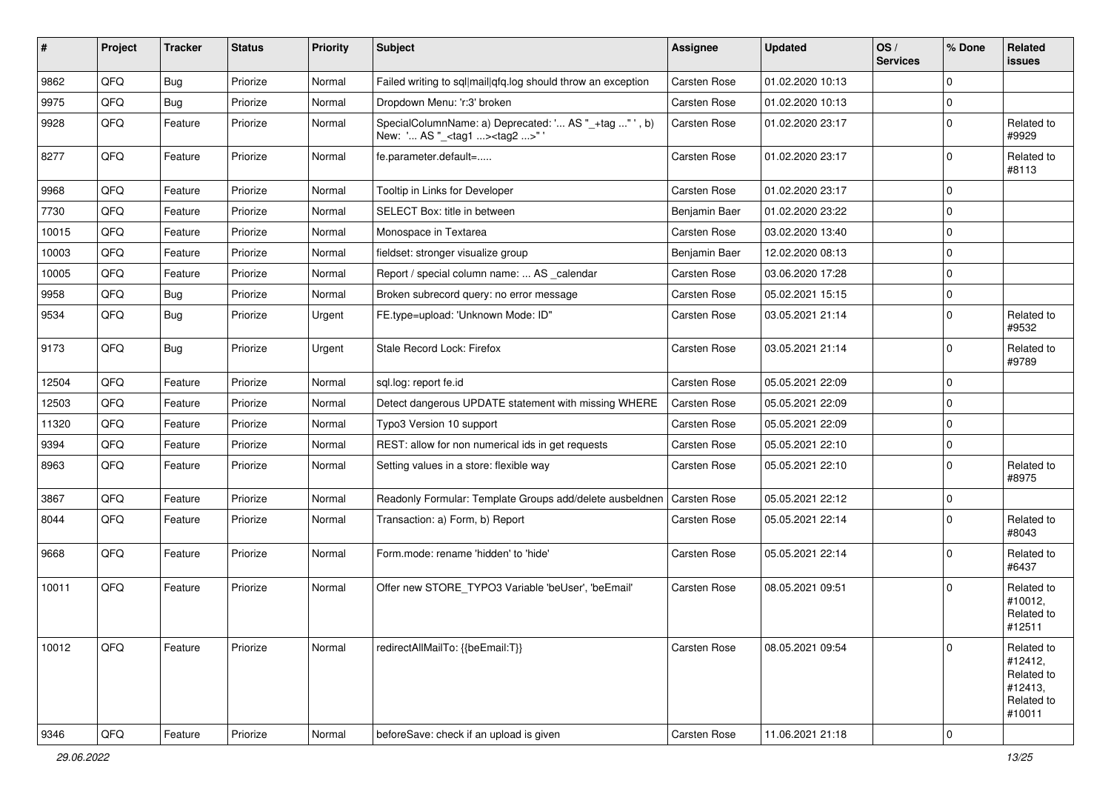| #     | Project | <b>Tracker</b> | <b>Status</b> | <b>Priority</b> | <b>Subject</b>                                                                                      | Assignee            | <b>Updated</b>   | OS/<br><b>Services</b> | % Done      | Related<br><b>issues</b>                                               |
|-------|---------|----------------|---------------|-----------------|-----------------------------------------------------------------------------------------------------|---------------------|------------------|------------------------|-------------|------------------------------------------------------------------------|
| 9862  | QFQ     | Bug            | Priorize      | Normal          | Failed writing to sql mail qfq.log should throw an exception                                        | Carsten Rose        | 01.02.2020 10:13 |                        | $\mathbf 0$ |                                                                        |
| 9975  | QFQ     | Bug            | Priorize      | Normal          | Dropdown Menu: 'r:3' broken                                                                         | <b>Carsten Rose</b> | 01.02.2020 10:13 |                        | $\mathbf 0$ |                                                                        |
| 9928  | QFQ     | Feature        | Priorize      | Normal          | SpecialColumnName: a) Deprecated: ' AS "_+tag " ', b)<br>New: ' AS "_ <tag1><tag2>" '</tag2></tag1> | Carsten Rose        | 01.02.2020 23:17 |                        | $\mathbf 0$ | Related to<br>#9929                                                    |
| 8277  | QFQ     | Feature        | Priorize      | Normal          | fe.parameter.default=                                                                               | Carsten Rose        | 01.02.2020 23:17 |                        | $\mathbf 0$ | Related to<br>#8113                                                    |
| 9968  | QFQ     | Feature        | Priorize      | Normal          | Tooltip in Links for Developer                                                                      | Carsten Rose        | 01.02.2020 23:17 |                        | $\mathbf 0$ |                                                                        |
| 7730  | QFQ     | Feature        | Priorize      | Normal          | SELECT Box: title in between                                                                        | Benjamin Baer       | 01.02.2020 23:22 |                        | $\mathbf 0$ |                                                                        |
| 10015 | QFQ     | Feature        | Priorize      | Normal          | Monospace in Textarea                                                                               | Carsten Rose        | 03.02.2020 13:40 |                        | $\mathbf 0$ |                                                                        |
| 10003 | QFQ     | Feature        | Priorize      | Normal          | fieldset: stronger visualize group                                                                  | Benjamin Baer       | 12.02.2020 08:13 |                        | $\mathbf 0$ |                                                                        |
| 10005 | QFQ     | Feature        | Priorize      | Normal          | Report / special column name:  AS _calendar                                                         | Carsten Rose        | 03.06.2020 17:28 |                        | $\mathbf 0$ |                                                                        |
| 9958  | QFQ     | Bug            | Priorize      | Normal          | Broken subrecord query: no error message                                                            | <b>Carsten Rose</b> | 05.02.2021 15:15 |                        | $\mathbf 0$ |                                                                        |
| 9534  | QFQ     | <b>Bug</b>     | Priorize      | Urgent          | FE.type=upload: 'Unknown Mode: ID"                                                                  | Carsten Rose        | 03.05.2021 21:14 |                        | $\mathbf 0$ | Related to<br>#9532                                                    |
| 9173  | QFQ     | <b>Bug</b>     | Priorize      | Urgent          | Stale Record Lock: Firefox                                                                          | Carsten Rose        | 03.05.2021 21:14 |                        | $\mathbf 0$ | Related to<br>#9789                                                    |
| 12504 | QFQ     | Feature        | Priorize      | Normal          | sql.log: report fe.id                                                                               | Carsten Rose        | 05.05.2021 22:09 |                        | $\mathbf 0$ |                                                                        |
| 12503 | QFQ     | Feature        | Priorize      | Normal          | Detect dangerous UPDATE statement with missing WHERE                                                | Carsten Rose        | 05.05.2021 22:09 |                        | $\mathbf 0$ |                                                                        |
| 11320 | QFQ     | Feature        | Priorize      | Normal          | Typo3 Version 10 support                                                                            | Carsten Rose        | 05.05.2021 22:09 |                        | $\mathbf 0$ |                                                                        |
| 9394  | QFQ     | Feature        | Priorize      | Normal          | REST: allow for non numerical ids in get requests                                                   | Carsten Rose        | 05.05.2021 22:10 |                        | $\mathbf 0$ |                                                                        |
| 8963  | QFQ     | Feature        | Priorize      | Normal          | Setting values in a store: flexible way                                                             | Carsten Rose        | 05.05.2021 22:10 |                        | $\mathbf 0$ | Related to<br>#8975                                                    |
| 3867  | QFQ     | Feature        | Priorize      | Normal          | Readonly Formular: Template Groups add/delete ausbeldnen                                            | <b>Carsten Rose</b> | 05.05.2021 22:12 |                        | $\mathbf 0$ |                                                                        |
| 8044  | QFQ     | Feature        | Priorize      | Normal          | Transaction: a) Form, b) Report                                                                     | Carsten Rose        | 05.05.2021 22:14 |                        | $\Omega$    | Related to<br>#8043                                                    |
| 9668  | QFQ     | Feature        | Priorize      | Normal          | Form.mode: rename 'hidden' to 'hide'                                                                | Carsten Rose        | 05.05.2021 22:14 |                        | $\mathbf 0$ | Related to<br>#6437                                                    |
| 10011 | QFQ     | Feature        | Priorize      | Normal          | Offer new STORE_TYPO3 Variable 'beUser', 'beEmail'                                                  | Carsten Rose        | 08.05.2021 09:51 |                        | $\mathbf 0$ | Related to<br>#10012,<br>Related to<br>#12511                          |
| 10012 | QFQ     | Feature        | Priorize      | Normal          | redirectAllMailTo: {{beEmail:T}}                                                                    | Carsten Rose        | 08.05.2021 09:54 |                        | $\mathbf 0$ | Related to<br>#12412,<br>Related to<br>#12413,<br>Related to<br>#10011 |
| 9346  | QFQ     | Feature        | Priorize      | Normal          | beforeSave: check if an upload is given                                                             | Carsten Rose        | 11.06.2021 21:18 |                        | $\pmb{0}$   |                                                                        |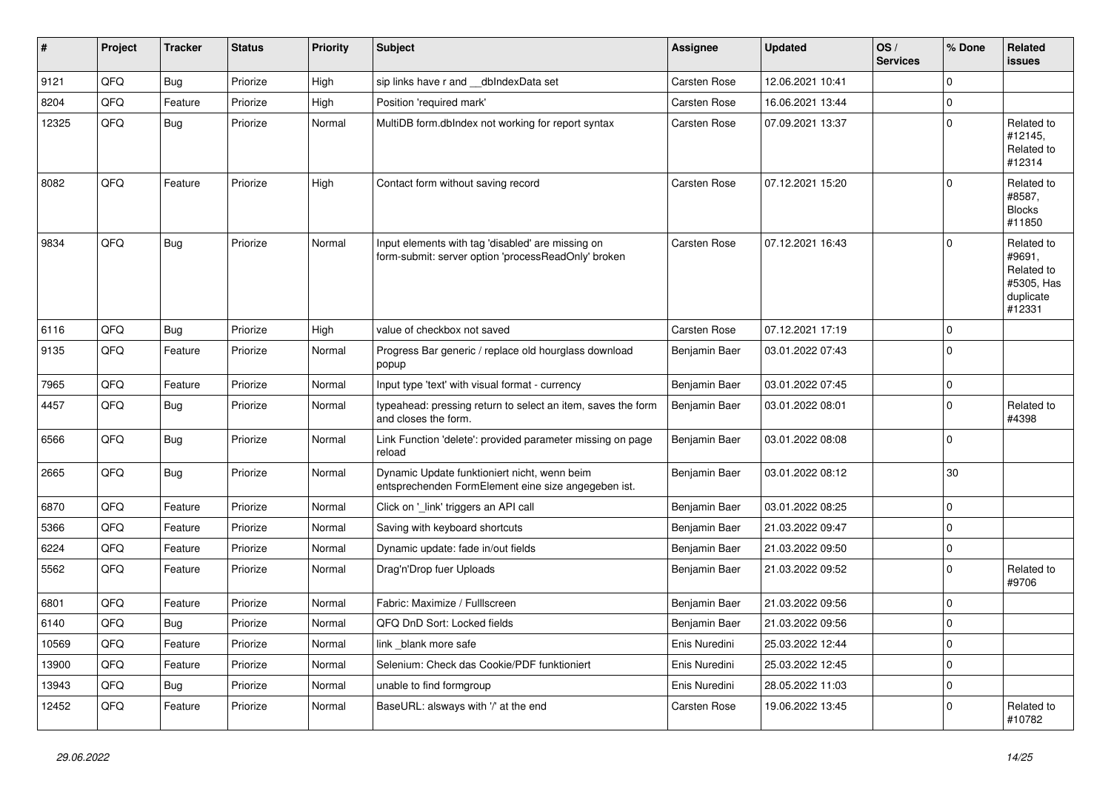| #     | Project | <b>Tracker</b> | <b>Status</b> | <b>Priority</b> | <b>Subject</b>                                                                                           | <b>Assignee</b>     | <b>Updated</b>   | OS/<br><b>Services</b> | % Done      | Related<br>issues                                                       |
|-------|---------|----------------|---------------|-----------------|----------------------------------------------------------------------------------------------------------|---------------------|------------------|------------------------|-------------|-------------------------------------------------------------------------|
| 9121  | QFQ     | <b>Bug</b>     | Priorize      | High            | sip links have r and dblndexData set                                                                     | Carsten Rose        | 12.06.2021 10:41 |                        | $\Omega$    |                                                                         |
| 8204  | QFQ     | Feature        | Priorize      | High            | Position 'required mark'                                                                                 | Carsten Rose        | 16.06.2021 13:44 |                        | $\Omega$    |                                                                         |
| 12325 | QFQ     | Bug            | Priorize      | Normal          | MultiDB form.dblndex not working for report syntax                                                       | Carsten Rose        | 07.09.2021 13:37 |                        | $\Omega$    | Related to<br>#12145,<br>Related to<br>#12314                           |
| 8082  | QFQ     | Feature        | Priorize      | High            | Contact form without saving record                                                                       | Carsten Rose        | 07.12.2021 15:20 |                        | $\mathbf 0$ | Related to<br>#8587,<br><b>Blocks</b><br>#11850                         |
| 9834  | QFQ     | Bug            | Priorize      | Normal          | Input elements with tag 'disabled' are missing on<br>form-submit: server option 'processReadOnly' broken | Carsten Rose        | 07.12.2021 16:43 |                        | $\mathbf 0$ | Related to<br>#9691,<br>Related to<br>#5305, Has<br>duplicate<br>#12331 |
| 6116  | QFQ     | <b>Bug</b>     | Priorize      | High            | value of checkbox not saved                                                                              | <b>Carsten Rose</b> | 07.12.2021 17:19 |                        | $\mathbf 0$ |                                                                         |
| 9135  | QFQ     | Feature        | Priorize      | Normal          | Progress Bar generic / replace old hourglass download<br>popup                                           | Benjamin Baer       | 03.01.2022 07:43 |                        | $\mathbf 0$ |                                                                         |
| 7965  | QFQ     | Feature        | Priorize      | Normal          | Input type 'text' with visual format - currency                                                          | Benjamin Baer       | 03.01.2022 07:45 |                        | $\mathbf 0$ |                                                                         |
| 4457  | QFQ     | Bug            | Priorize      | Normal          | typeahead: pressing return to select an item, saves the form<br>and closes the form.                     | Benjamin Baer       | 03.01.2022 08:01 |                        | $\Omega$    | Related to<br>#4398                                                     |
| 6566  | QFQ     | Bug            | Priorize      | Normal          | Link Function 'delete': provided parameter missing on page<br>reload                                     | Benjamin Baer       | 03.01.2022 08:08 |                        | $\mathbf 0$ |                                                                         |
| 2665  | QFQ     | Bug            | Priorize      | Normal          | Dynamic Update funktioniert nicht, wenn beim<br>entsprechenden FormElement eine size angegeben ist.      | Benjamin Baer       | 03.01.2022 08:12 |                        | 30          |                                                                         |
| 6870  | QFQ     | Feature        | Priorize      | Normal          | Click on '_link' triggers an API call                                                                    | Benjamin Baer       | 03.01.2022 08:25 |                        | $\Omega$    |                                                                         |
| 5366  | QFQ     | Feature        | Priorize      | Normal          | Saving with keyboard shortcuts                                                                           | Benjamin Baer       | 21.03.2022 09:47 |                        | $\Omega$    |                                                                         |
| 6224  | QFQ     | Feature        | Priorize      | Normal          | Dynamic update: fade in/out fields                                                                       | Benjamin Baer       | 21.03.2022 09:50 |                        | $\mathbf 0$ |                                                                         |
| 5562  | QFQ     | Feature        | Priorize      | Normal          | Drag'n'Drop fuer Uploads                                                                                 | Benjamin Baer       | 21.03.2022 09:52 |                        | $\Omega$    | Related to<br>#9706                                                     |
| 6801  | QFQ     | Feature        | Priorize      | Normal          | Fabric: Maximize / FullIscreen                                                                           | Benjamin Baer       | 21.03.2022 09:56 |                        | $\mathbf 0$ |                                                                         |
| 6140  | QFQ     | Bug            | Priorize      | Normal          | QFQ DnD Sort: Locked fields                                                                              | Benjamin Baer       | 21.03.2022 09:56 |                        | $\mathbf 0$ |                                                                         |
| 10569 | QFQ     | Feature        | Priorize      | Normal          | link blank more safe                                                                                     | Enis Nuredini       | 25.03.2022 12:44 |                        | $\mathbf 0$ |                                                                         |
| 13900 | QFQ     | Feature        | Priorize      | Normal          | Selenium: Check das Cookie/PDF funktioniert                                                              | Enis Nuredini       | 25.03.2022 12:45 |                        | $\mathbf 0$ |                                                                         |
| 13943 | QFQ     | Bug            | Priorize      | Normal          | unable to find formgroup                                                                                 | Enis Nuredini       | 28.05.2022 11:03 |                        | $\mathbf 0$ |                                                                         |
| 12452 | QFQ     | Feature        | Priorize      | Normal          | BaseURL: alsways with '/' at the end                                                                     | Carsten Rose        | 19.06.2022 13:45 |                        | $\Omega$    | Related to<br>#10782                                                    |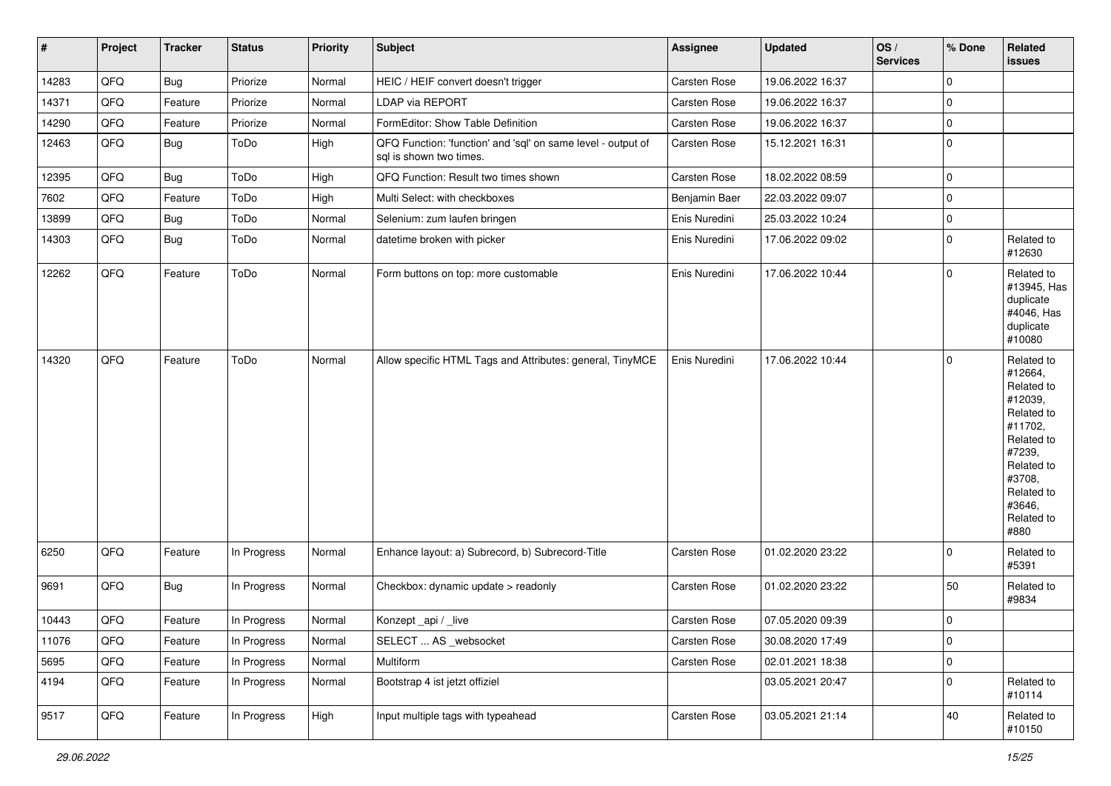| #     | Project | <b>Tracker</b> | <b>Status</b> | <b>Priority</b> | <b>Subject</b>                                                                          | Assignee            | <b>Updated</b>   | OS/<br><b>Services</b> | % Done      | Related<br><b>issues</b>                                                                                                                                              |
|-------|---------|----------------|---------------|-----------------|-----------------------------------------------------------------------------------------|---------------------|------------------|------------------------|-------------|-----------------------------------------------------------------------------------------------------------------------------------------------------------------------|
| 14283 | QFQ     | <b>Bug</b>     | Priorize      | Normal          | HEIC / HEIF convert doesn't trigger                                                     | <b>Carsten Rose</b> | 19.06.2022 16:37 |                        | $\mathbf 0$ |                                                                                                                                                                       |
| 14371 | QFQ     | Feature        | Priorize      | Normal          | <b>LDAP via REPORT</b>                                                                  | Carsten Rose        | 19.06.2022 16:37 |                        | $\mathbf 0$ |                                                                                                                                                                       |
| 14290 | QFQ     | Feature        | Priorize      | Normal          | FormEditor: Show Table Definition                                                       | Carsten Rose        | 19.06.2022 16:37 |                        | $\mathbf 0$ |                                                                                                                                                                       |
| 12463 | QFQ     | <b>Bug</b>     | ToDo          | High            | QFQ Function: 'function' and 'sql' on same level - output of<br>sql is shown two times. | Carsten Rose        | 15.12.2021 16:31 |                        | $\mathbf 0$ |                                                                                                                                                                       |
| 12395 | QFQ     | Bug            | ToDo          | High            | QFQ Function: Result two times shown                                                    | Carsten Rose        | 18.02.2022 08:59 |                        | $\pmb{0}$   |                                                                                                                                                                       |
| 7602  | QFQ     | Feature        | ToDo          | High            | Multi Select: with checkboxes                                                           | Benjamin Baer       | 22.03.2022 09:07 |                        | $\mathbf 0$ |                                                                                                                                                                       |
| 13899 | QFQ     | Bug            | ToDo          | Normal          | Selenium: zum laufen bringen                                                            | Enis Nuredini       | 25.03.2022 10:24 |                        | $\mathbf 0$ |                                                                                                                                                                       |
| 14303 | QFQ     | Bug            | ToDo          | Normal          | datetime broken with picker                                                             | Enis Nuredini       | 17.06.2022 09:02 |                        | $\mathbf 0$ | Related to<br>#12630                                                                                                                                                  |
| 12262 | QFQ     | Feature        | ToDo          | Normal          | Form buttons on top: more customable                                                    | Enis Nuredini       | 17.06.2022 10:44 |                        | $\mathbf 0$ | Related to<br>#13945, Has<br>duplicate<br>#4046, Has<br>duplicate<br>#10080                                                                                           |
| 14320 | QFQ     | Feature        | ToDo          | Normal          | Allow specific HTML Tags and Attributes: general, TinyMCE                               | Enis Nuredini       | 17.06.2022 10:44 |                        | $\mathbf 0$ | Related to<br>#12664,<br>Related to<br>#12039,<br>Related to<br>#11702,<br>Related to<br>#7239,<br>Related to<br>#3708,<br>Related to<br>#3646,<br>Related to<br>#880 |
| 6250  | QFQ     | Feature        | In Progress   | Normal          | Enhance layout: a) Subrecord, b) Subrecord-Title                                        | Carsten Rose        | 01.02.2020 23:22 |                        | $\mathbf 0$ | Related to<br>#5391                                                                                                                                                   |
| 9691  | QFQ     | Bug            | In Progress   | Normal          | Checkbox: dynamic update > readonly                                                     | Carsten Rose        | 01.02.2020 23:22 |                        | 50          | Related to<br>#9834                                                                                                                                                   |
| 10443 | QFQ     | Feature        | In Progress   | Normal          | Konzept_api / _live                                                                     | <b>Carsten Rose</b> | 07.05.2020 09:39 |                        | $\mathbf 0$ |                                                                                                                                                                       |
| 11076 | QFQ     | Feature        | In Progress   | Normal          | SELECT  AS _websocket                                                                   | Carsten Rose        | 30.08.2020 17:49 |                        | $\pmb{0}$   |                                                                                                                                                                       |
| 5695  | QFQ     | Feature        | In Progress   | Normal          | Multiform                                                                               | Carsten Rose        | 02.01.2021 18:38 |                        | $\pmb{0}$   |                                                                                                                                                                       |
| 4194  | QFQ     | Feature        | In Progress   | Normal          | Bootstrap 4 ist jetzt offiziel                                                          |                     | 03.05.2021 20:47 |                        | $\mathbf 0$ | Related to<br>#10114                                                                                                                                                  |
| 9517  | QFQ     | Feature        | In Progress   | High            | Input multiple tags with typeahead                                                      | Carsten Rose        | 03.05.2021 21:14 |                        | $40\,$      | Related to<br>#10150                                                                                                                                                  |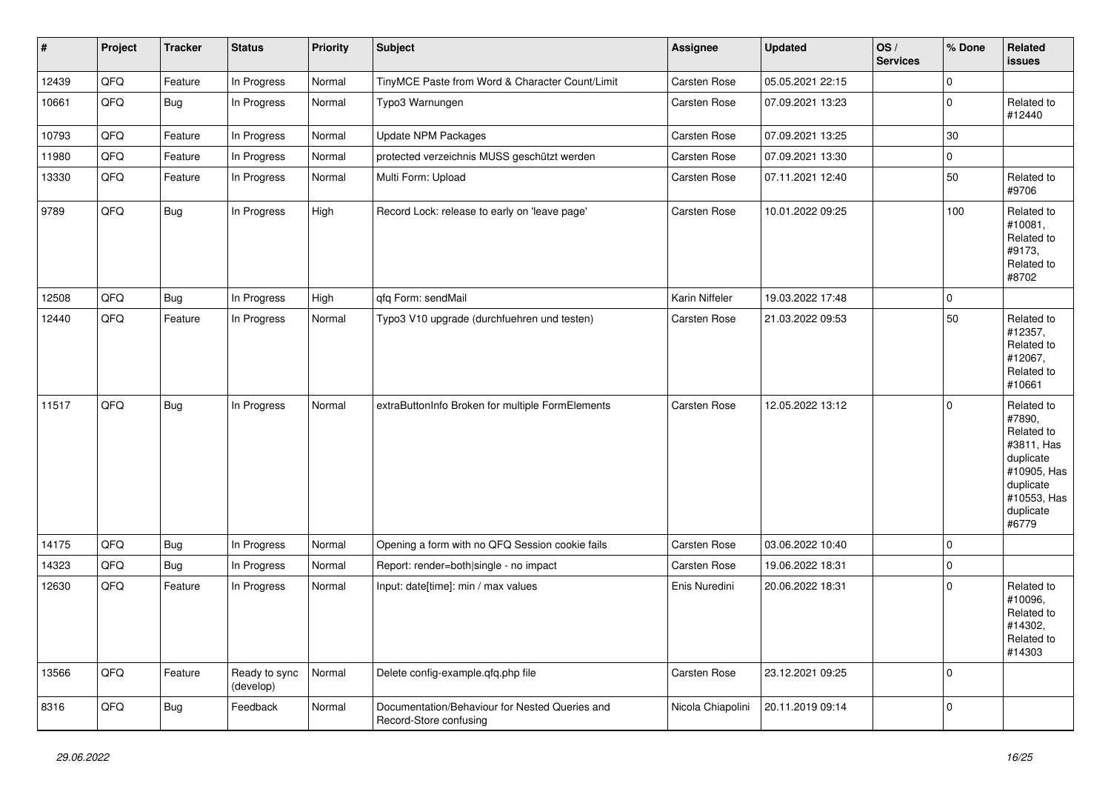| #     | Project | <b>Tracker</b> | <b>Status</b>              | <b>Priority</b> | <b>Subject</b>                                                           | Assignee          | <b>Updated</b>   | OS/<br><b>Services</b> | % Done      | Related<br><b>issues</b>                                                                                                       |
|-------|---------|----------------|----------------------------|-----------------|--------------------------------------------------------------------------|-------------------|------------------|------------------------|-------------|--------------------------------------------------------------------------------------------------------------------------------|
| 12439 | QFQ     | Feature        | In Progress                | Normal          | TinyMCE Paste from Word & Character Count/Limit                          | Carsten Rose      | 05.05.2021 22:15 |                        | $\mathbf 0$ |                                                                                                                                |
| 10661 | QFQ     | <b>Bug</b>     | In Progress                | Normal          | Typo3 Warnungen                                                          | Carsten Rose      | 07.09.2021 13:23 |                        | $\mathbf 0$ | Related to<br>#12440                                                                                                           |
| 10793 | QFQ     | Feature        | In Progress                | Normal          | <b>Update NPM Packages</b>                                               | Carsten Rose      | 07.09.2021 13:25 |                        | 30          |                                                                                                                                |
| 11980 | QFQ     | Feature        | In Progress                | Normal          | protected verzeichnis MUSS geschützt werden                              | Carsten Rose      | 07.09.2021 13:30 |                        | 0           |                                                                                                                                |
| 13330 | QFQ     | Feature        | In Progress                | Normal          | Multi Form: Upload                                                       | Carsten Rose      | 07.11.2021 12:40 |                        | 50          | Related to<br>#9706                                                                                                            |
| 9789  | QFQ     | Bug            | In Progress                | High            | Record Lock: release to early on 'leave page'                            | Carsten Rose      | 10.01.2022 09:25 |                        | 100         | Related to<br>#10081,<br>Related to<br>#9173,<br>Related to<br>#8702                                                           |
| 12508 | QFQ     | <b>Bug</b>     | In Progress                | High            | qfq Form: sendMail                                                       | Karin Niffeler    | 19.03.2022 17:48 |                        | $\mathbf 0$ |                                                                                                                                |
| 12440 | QFQ     | Feature        | In Progress                | Normal          | Typo3 V10 upgrade (durchfuehren und testen)                              | Carsten Rose      | 21.03.2022 09:53 |                        | 50          | Related to<br>#12357,<br>Related to<br>#12067,<br>Related to<br>#10661                                                         |
| 11517 | QFQ     | Bug            | In Progress                | Normal          | extraButtonInfo Broken for multiple FormElements                         | Carsten Rose      | 12.05.2022 13:12 |                        | $\mathbf 0$ | Related to<br>#7890,<br>Related to<br>#3811, Has<br>duplicate<br>#10905, Has<br>duplicate<br>#10553, Has<br>duplicate<br>#6779 |
| 14175 | QFQ     | Bug            | In Progress                | Normal          | Opening a form with no QFQ Session cookie fails                          | Carsten Rose      | 03.06.2022 10:40 |                        | $\mathbf 0$ |                                                                                                                                |
| 14323 | QFQ     | Bug            | In Progress                | Normal          | Report: render=both single - no impact                                   | Carsten Rose      | 19.06.2022 18:31 |                        | $\mathbf 0$ |                                                                                                                                |
| 12630 | QFQ     | Feature        | In Progress                | Normal          | Input: date[time]: min / max values                                      | Enis Nuredini     | 20.06.2022 18:31 |                        | $\mathbf 0$ | Related to<br>#10096,<br>Related to<br>#14302,<br>Related to<br>#14303                                                         |
| 13566 | QFQ     | Feature        | Ready to sync<br>(develop) | Normal          | Delete config-example.qfq.php file                                       | Carsten Rose      | 23.12.2021 09:25 |                        | $\mathbf 0$ |                                                                                                                                |
| 8316  | QFQ     | <b>Bug</b>     | Feedback                   | Normal          | Documentation/Behaviour for Nested Queries and<br>Record-Store confusing | Nicola Chiapolini | 20.11.2019 09:14 |                        | $\pmb{0}$   |                                                                                                                                |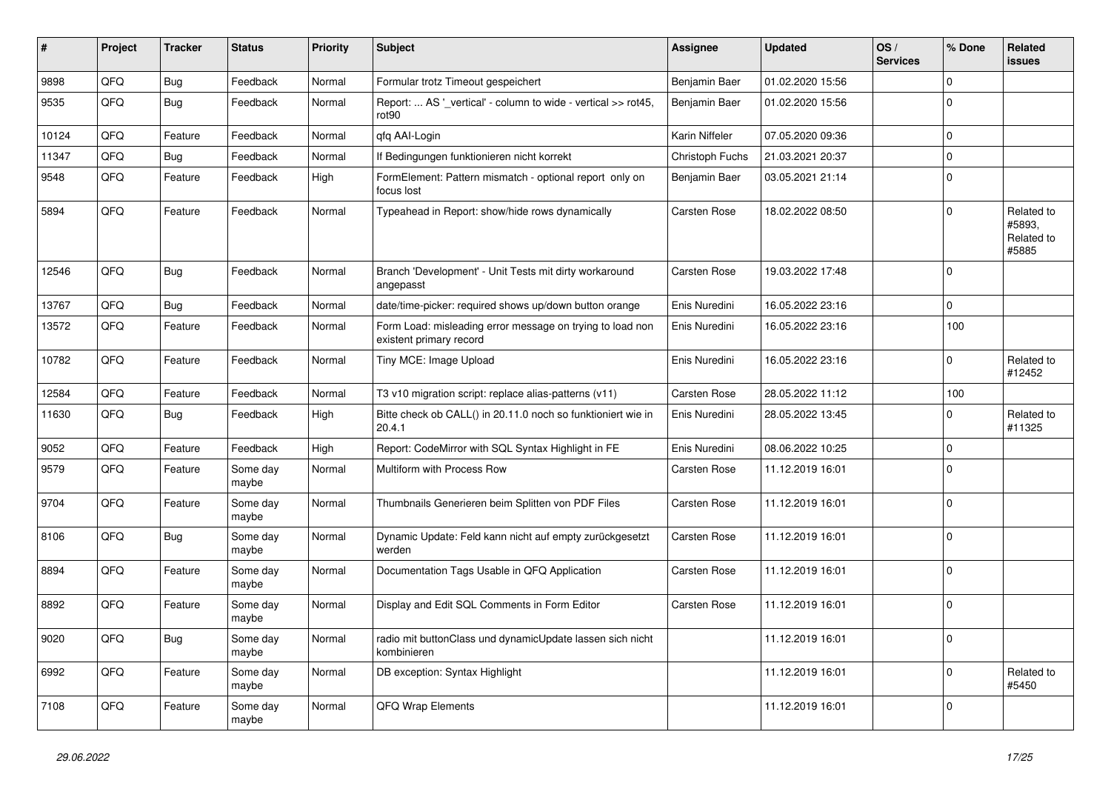| ∦     | Project | <b>Tracker</b> | <b>Status</b>     | <b>Priority</b> | <b>Subject</b>                                                                       | <b>Assignee</b>     | <b>Updated</b>   | OS/<br><b>Services</b> | % Done       | Related<br><b>issues</b>                    |
|-------|---------|----------------|-------------------|-----------------|--------------------------------------------------------------------------------------|---------------------|------------------|------------------------|--------------|---------------------------------------------|
| 9898  | QFQ     | Bug            | Feedback          | Normal          | Formular trotz Timeout gespeichert                                                   | Benjamin Baer       | 01.02.2020 15:56 |                        | $\Omega$     |                                             |
| 9535  | QFQ     | <b>Bug</b>     | Feedback          | Normal          | Report:  AS '_vertical' - column to wide - vertical >> rot45,<br>rot90               | Benjamin Baer       | 01.02.2020 15:56 |                        | $\mathbf{0}$ |                                             |
| 10124 | QFQ     | Feature        | Feedback          | Normal          | qfq AAI-Login                                                                        | Karin Niffeler      | 07.05.2020 09:36 |                        | $\mathbf 0$  |                                             |
| 11347 | QFQ     | <b>Bug</b>     | Feedback          | Normal          | If Bedingungen funktionieren nicht korrekt                                           | Christoph Fuchs     | 21.03.2021 20:37 |                        | $\mathbf 0$  |                                             |
| 9548  | QFQ     | Feature        | Feedback          | High            | FormElement: Pattern mismatch - optional report only on<br>focus lost                | Benjamin Baer       | 03.05.2021 21:14 |                        | $\mathbf 0$  |                                             |
| 5894  | QFQ     | Feature        | Feedback          | Normal          | Typeahead in Report: show/hide rows dynamically                                      | Carsten Rose        | 18.02.2022 08:50 |                        | $\Omega$     | Related to<br>#5893,<br>Related to<br>#5885 |
| 12546 | QFQ     | <b>Bug</b>     | Feedback          | Normal          | Branch 'Development' - Unit Tests mit dirty workaround<br>angepasst                  | <b>Carsten Rose</b> | 19.03.2022 17:48 |                        | $\Omega$     |                                             |
| 13767 | QFQ     | <b>Bug</b>     | Feedback          | Normal          | date/time-picker: required shows up/down button orange                               | Enis Nuredini       | 16.05.2022 23:16 |                        | 0            |                                             |
| 13572 | QFQ     | Feature        | Feedback          | Normal          | Form Load: misleading error message on trying to load non<br>existent primary record | Enis Nuredini       | 16.05.2022 23:16 |                        | 100          |                                             |
| 10782 | QFQ     | Feature        | Feedback          | Normal          | Tiny MCE: Image Upload                                                               | Enis Nuredini       | 16.05.2022 23:16 |                        | $\Omega$     | Related to<br>#12452                        |
| 12584 | QFQ     | Feature        | Feedback          | Normal          | T3 v10 migration script: replace alias-patterns (v11)                                | <b>Carsten Rose</b> | 28.05.2022 11:12 |                        | 100          |                                             |
| 11630 | QFQ     | <b>Bug</b>     | Feedback          | High            | Bitte check ob CALL() in 20.11.0 noch so funktioniert wie in<br>20.4.1               | Enis Nuredini       | 28.05.2022 13:45 |                        | $\Omega$     | Related to<br>#11325                        |
| 9052  | QFQ     | Feature        | Feedback          | High            | Report: CodeMirror with SQL Syntax Highlight in FE                                   | Enis Nuredini       | 08.06.2022 10:25 |                        | $\mathbf{0}$ |                                             |
| 9579  | QFQ     | Feature        | Some day<br>maybe | Normal          | Multiform with Process Row                                                           | Carsten Rose        | 11.12.2019 16:01 |                        | $\Omega$     |                                             |
| 9704  | QFQ     | Feature        | Some day<br>maybe | Normal          | Thumbnails Generieren beim Splitten von PDF Files                                    | Carsten Rose        | 11.12.2019 16:01 |                        | $\mathbf 0$  |                                             |
| 8106  | QFQ     | <b>Bug</b>     | Some day<br>maybe | Normal          | Dynamic Update: Feld kann nicht auf empty zurückgesetzt<br>werden                    | Carsten Rose        | 11.12.2019 16:01 |                        | $\Omega$     |                                             |
| 8894  | QFQ     | Feature        | Some day<br>maybe | Normal          | Documentation Tags Usable in QFQ Application                                         | Carsten Rose        | 11.12.2019 16:01 |                        | $\mathbf{0}$ |                                             |
| 8892  | QFQ     | Feature        | Some day<br>maybe | Normal          | Display and Edit SQL Comments in Form Editor                                         | Carsten Rose        | 11.12.2019 16:01 |                        | $\Omega$     |                                             |
| 9020  | QFQ     | <b>Bug</b>     | Some day<br>maybe | Normal          | radio mit buttonClass und dynamicUpdate lassen sich nicht<br>kombinieren             |                     | 11.12.2019 16:01 |                        | $\Omega$     |                                             |
| 6992  | QFQ     | Feature        | Some day<br>maybe | Normal          | DB exception: Syntax Highlight                                                       |                     | 11.12.2019 16:01 |                        | $\Omega$     | Related to<br>#5450                         |
| 7108  | QFQ     | Feature        | Some day<br>maybe | Normal          | QFQ Wrap Elements                                                                    |                     | 11.12.2019 16:01 |                        | $\Omega$     |                                             |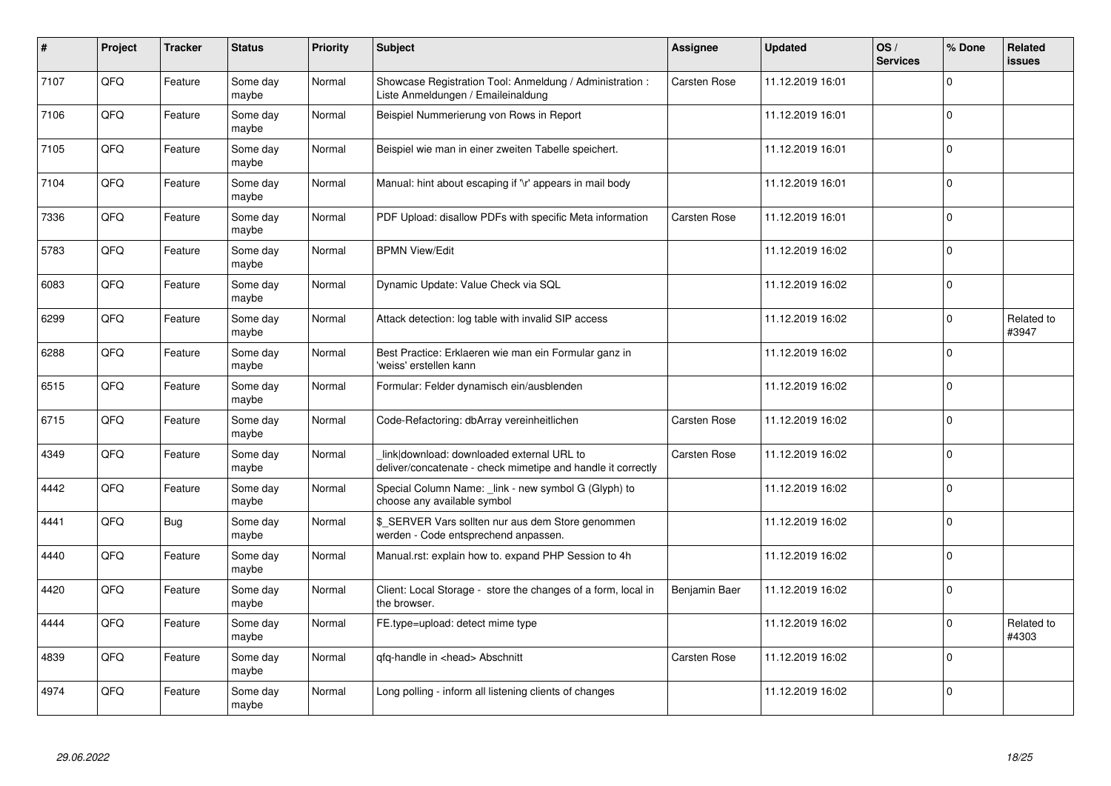| #    | Project | <b>Tracker</b> | <b>Status</b>     | <b>Priority</b> | <b>Subject</b>                                                                                            | Assignee            | <b>Updated</b>   | OS/<br><b>Services</b> | % Done   | Related<br><b>issues</b> |
|------|---------|----------------|-------------------|-----------------|-----------------------------------------------------------------------------------------------------------|---------------------|------------------|------------------------|----------|--------------------------|
| 7107 | QFQ     | Feature        | Some day<br>maybe | Normal          | Showcase Registration Tool: Anmeldung / Administration :<br>Liste Anmeldungen / Emaileinaldung            | <b>Carsten Rose</b> | 11.12.2019 16:01 |                        | $\Omega$ |                          |
| 7106 | QFQ     | Feature        | Some dav<br>maybe | Normal          | Beispiel Nummerierung von Rows in Report                                                                  |                     | 11.12.2019 16:01 |                        | $\Omega$ |                          |
| 7105 | QFQ     | Feature        | Some day<br>maybe | Normal          | Beispiel wie man in einer zweiten Tabelle speichert.                                                      |                     | 11.12.2019 16:01 |                        | $\Omega$ |                          |
| 7104 | QFQ     | Feature        | Some day<br>maybe | Normal          | Manual: hint about escaping if '\r' appears in mail body                                                  |                     | 11.12.2019 16:01 |                        | $\Omega$ |                          |
| 7336 | QFQ     | Feature        | Some day<br>maybe | Normal          | PDF Upload: disallow PDFs with specific Meta information                                                  | <b>Carsten Rose</b> | 11.12.2019 16:01 |                        | $\Omega$ |                          |
| 5783 | QFQ     | Feature        | Some dav<br>maybe | Normal          | <b>BPMN View/Edit</b>                                                                                     |                     | 11.12.2019 16:02 |                        | $\Omega$ |                          |
| 6083 | QFQ     | Feature        | Some day<br>maybe | Normal          | Dynamic Update: Value Check via SQL                                                                       |                     | 11.12.2019 16:02 |                        | $\Omega$ |                          |
| 6299 | QFQ     | Feature        | Some day<br>maybe | Normal          | Attack detection: log table with invalid SIP access                                                       |                     | 11.12.2019 16:02 |                        | $\Omega$ | Related to<br>#3947      |
| 6288 | QFQ     | Feature        | Some day<br>maybe | Normal          | Best Practice: Erklaeren wie man ein Formular ganz in<br>'weiss' erstellen kann                           |                     | 11.12.2019 16:02 |                        | $\Omega$ |                          |
| 6515 | QFQ     | Feature        | Some day<br>maybe | Normal          | Formular: Felder dynamisch ein/ausblenden                                                                 |                     | 11.12.2019 16:02 |                        | 0        |                          |
| 6715 | QFQ     | Feature        | Some day<br>maybe | Normal          | Code-Refactoring: dbArray vereinheitlichen                                                                | Carsten Rose        | 11.12.2019 16:02 |                        | $\Omega$ |                          |
| 4349 | QFQ     | Feature        | Some day<br>maybe | Normal          | link download: downloaded external URL to<br>deliver/concatenate - check mimetipe and handle it correctly | Carsten Rose        | 11.12.2019 16:02 |                        | $\Omega$ |                          |
| 4442 | QFQ     | Feature        | Some day<br>maybe | Normal          | Special Column Name: link - new symbol G (Glyph) to<br>choose any available symbol                        |                     | 11.12.2019 16:02 |                        | 0        |                          |
| 4441 | QFQ     | <b>Bug</b>     | Some day<br>maybe | Normal          | \$ SERVER Vars sollten nur aus dem Store genommen<br>werden - Code entsprechend anpassen.                 |                     | 11.12.2019 16:02 |                        | $\Omega$ |                          |
| 4440 | QFQ     | Feature        | Some dav<br>maybe | Normal          | Manual.rst: explain how to. expand PHP Session to 4h                                                      |                     | 11.12.2019 16:02 |                        | $\Omega$ |                          |
| 4420 | QFQ     | Feature        | Some day<br>maybe | Normal          | Client: Local Storage - store the changes of a form, local in<br>the browser.                             | Benjamin Baer       | 11.12.2019 16:02 |                        | $\Omega$ |                          |
| 4444 | QFQ     | Feature        | Some day<br>maybe | Normal          | FE.type=upload: detect mime type                                                                          |                     | 11.12.2019 16:02 |                        | $\Omega$ | Related to<br>#4303      |
| 4839 | QFQ     | Feature        | Some day<br>maybe | Normal          | qfq-handle in <head> Abschnitt</head>                                                                     | Carsten Rose        | 11.12.2019 16:02 |                        | $\Omega$ |                          |
| 4974 | QFQ     | Feature        | Some day<br>maybe | Normal          | Long polling - inform all listening clients of changes                                                    |                     | 11.12.2019 16:02 |                        | $\Omega$ |                          |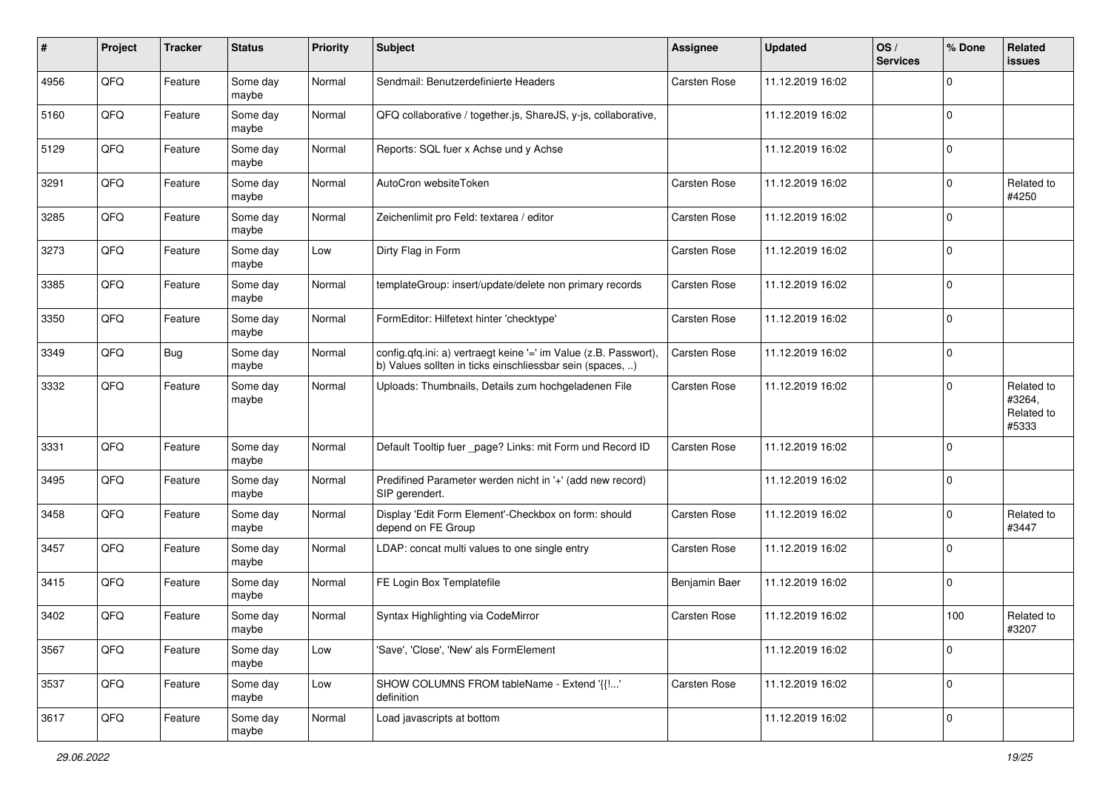| #    | Project | <b>Tracker</b> | <b>Status</b>     | <b>Priority</b> | <b>Subject</b>                                                                                                                | Assignee            | <b>Updated</b>   | OS/<br><b>Services</b> | % Done      | Related<br><b>issues</b>                    |
|------|---------|----------------|-------------------|-----------------|-------------------------------------------------------------------------------------------------------------------------------|---------------------|------------------|------------------------|-------------|---------------------------------------------|
| 4956 | QFQ     | Feature        | Some day<br>maybe | Normal          | Sendmail: Benutzerdefinierte Headers                                                                                          | Carsten Rose        | 11.12.2019 16:02 |                        | $\mathbf 0$ |                                             |
| 5160 | QFQ     | Feature        | Some day<br>maybe | Normal          | QFQ collaborative / together.js, ShareJS, y-js, collaborative,                                                                |                     | 11.12.2019 16:02 |                        | $\mathbf 0$ |                                             |
| 5129 | QFQ     | Feature        | Some day<br>maybe | Normal          | Reports: SQL fuer x Achse und y Achse                                                                                         |                     | 11.12.2019 16:02 |                        | $\mathbf 0$ |                                             |
| 3291 | QFQ     | Feature        | Some day<br>maybe | Normal          | AutoCron websiteToken                                                                                                         | Carsten Rose        | 11.12.2019 16:02 |                        | $\mathbf 0$ | Related to<br>#4250                         |
| 3285 | QFQ     | Feature        | Some day<br>maybe | Normal          | Zeichenlimit pro Feld: textarea / editor                                                                                      | Carsten Rose        | 11.12.2019 16:02 |                        | $\mathbf 0$ |                                             |
| 3273 | QFQ     | Feature        | Some day<br>maybe | Low             | Dirty Flag in Form                                                                                                            | Carsten Rose        | 11.12.2019 16:02 |                        | $\mathbf 0$ |                                             |
| 3385 | QFQ     | Feature        | Some day<br>maybe | Normal          | templateGroup: insert/update/delete non primary records                                                                       | Carsten Rose        | 11.12.2019 16:02 |                        | $\mathbf 0$ |                                             |
| 3350 | QFQ     | Feature        | Some day<br>maybe | Normal          | FormEditor: Hilfetext hinter 'checktype'                                                                                      | <b>Carsten Rose</b> | 11.12.2019 16:02 |                        | $\mathbf 0$ |                                             |
| 3349 | QFQ     | Bug            | Some day<br>maybe | Normal          | config.qfq.ini: a) vertraegt keine '=' im Value (z.B. Passwort),<br>b) Values sollten in ticks einschliessbar sein (spaces, ) | Carsten Rose        | 11.12.2019 16:02 |                        | $\mathbf 0$ |                                             |
| 3332 | QFQ     | Feature        | Some day<br>maybe | Normal          | Uploads: Thumbnails, Details zum hochgeladenen File                                                                           | <b>Carsten Rose</b> | 11.12.2019 16:02 |                        | $\mathbf 0$ | Related to<br>#3264,<br>Related to<br>#5333 |
| 3331 | QFQ     | Feature        | Some day<br>maybe | Normal          | Default Tooltip fuer _page? Links: mit Form und Record ID                                                                     | Carsten Rose        | 11.12.2019 16:02 |                        | $\mathbf 0$ |                                             |
| 3495 | QFQ     | Feature        | Some day<br>maybe | Normal          | Predifined Parameter werden nicht in '+' (add new record)<br>SIP gerendert.                                                   |                     | 11.12.2019 16:02 |                        | $\mathbf 0$ |                                             |
| 3458 | QFQ     | Feature        | Some day<br>maybe | Normal          | Display 'Edit Form Element'-Checkbox on form: should<br>depend on FE Group                                                    | Carsten Rose        | 11.12.2019 16:02 |                        | $\mathbf 0$ | Related to<br>#3447                         |
| 3457 | QFQ     | Feature        | Some day<br>maybe | Normal          | LDAP: concat multi values to one single entry                                                                                 | Carsten Rose        | 11.12.2019 16:02 |                        | $\mathbf 0$ |                                             |
| 3415 | QFQ     | Feature        | Some day<br>maybe | Normal          | FE Login Box Templatefile                                                                                                     | Benjamin Baer       | 11.12.2019 16:02 |                        | $\mathbf 0$ |                                             |
| 3402 | QFQ     | Feature        | Some day<br>maybe | Normal          | Syntax Highlighting via CodeMirror                                                                                            | Carsten Rose        | 11.12.2019 16:02 |                        | 100         | Related to<br>#3207                         |
| 3567 | QFQ     | Feature        | Some day<br>maybe | Low             | 'Save', 'Close', 'New' als FormElement                                                                                        |                     | 11.12.2019 16:02 |                        | $\mathbf 0$ |                                             |
| 3537 | QFQ     | Feature        | Some day<br>maybe | Low             | SHOW COLUMNS FROM tableName - Extend '{{!'<br>definition                                                                      | Carsten Rose        | 11.12.2019 16:02 |                        | $\mathbf 0$ |                                             |
| 3617 | QFQ     | Feature        | Some day<br>maybe | Normal          | Load javascripts at bottom                                                                                                    |                     | 11.12.2019 16:02 |                        | $\mathsf 0$ |                                             |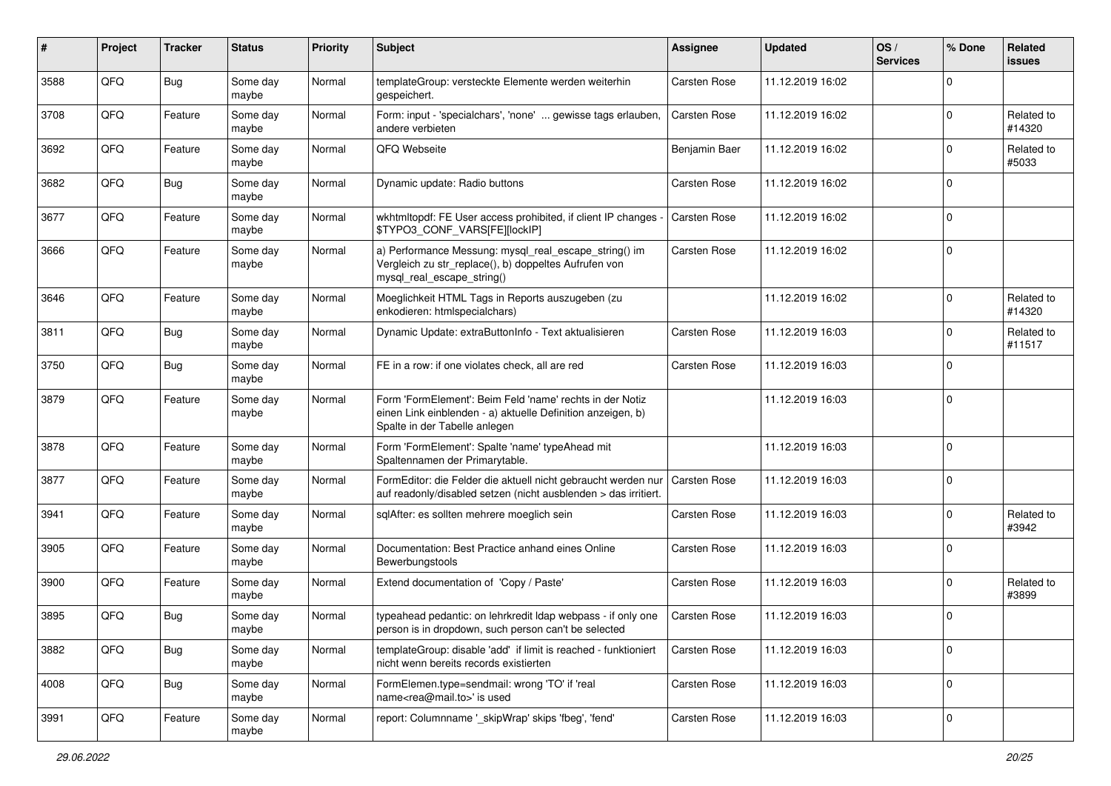| #    | Project | <b>Tracker</b> | <b>Status</b>     | <b>Priority</b> | <b>Subject</b>                                                                                                                                           | <b>Assignee</b>     | <b>Updated</b>   | OS/<br><b>Services</b> | % Done         | Related<br><b>issues</b> |
|------|---------|----------------|-------------------|-----------------|----------------------------------------------------------------------------------------------------------------------------------------------------------|---------------------|------------------|------------------------|----------------|--------------------------|
| 3588 | QFQ     | Bug            | Some day<br>maybe | Normal          | templateGroup: versteckte Elemente werden weiterhin<br>gespeichert.                                                                                      | Carsten Rose        | 11.12.2019 16:02 |                        | O              |                          |
| 3708 | QFQ     | Feature        | Some day<br>maybe | Normal          | Form: input - 'specialchars', 'none'  gewisse tags erlauben,<br>andere verbieten                                                                         | <b>Carsten Rose</b> | 11.12.2019 16:02 |                        | $\Omega$       | Related to<br>#14320     |
| 3692 | QFQ     | Feature        | Some day<br>maybe | Normal          | QFQ Webseite                                                                                                                                             | Benjamin Baer       | 11.12.2019 16:02 |                        | $\Omega$       | Related to<br>#5033      |
| 3682 | QFQ     | Bug            | Some day<br>maybe | Normal          | Dynamic update: Radio buttons                                                                                                                            | Carsten Rose        | 11.12.2019 16:02 |                        | $\Omega$       |                          |
| 3677 | QFQ     | Feature        | Some day<br>maybe | Normal          | wkhtmltopdf: FE User access prohibited, if client IP changes -<br>\$TYPO3_CONF_VARS[FE][lockIP]                                                          | Carsten Rose        | 11.12.2019 16:02 |                        | $\Omega$       |                          |
| 3666 | QFQ     | Feature        | Some day<br>maybe | Normal          | a) Performance Messung: mysql_real_escape_string() im<br>Vergleich zu str_replace(), b) doppeltes Aufrufen von<br>mysql_real_escape_string()             | Carsten Rose        | 11.12.2019 16:02 |                        | $\Omega$       |                          |
| 3646 | QFQ     | Feature        | Some day<br>maybe | Normal          | Moeglichkeit HTML Tags in Reports auszugeben (zu<br>enkodieren: htmlspecialchars)                                                                        |                     | 11.12.2019 16:02 |                        | $\Omega$       | Related to<br>#14320     |
| 3811 | QFQ     | Bug            | Some day<br>maybe | Normal          | Dynamic Update: extraButtonInfo - Text aktualisieren                                                                                                     | Carsten Rose        | 11.12.2019 16:03 |                        | $\Omega$       | Related to<br>#11517     |
| 3750 | QFQ     | Bug            | Some day<br>maybe | Normal          | FE in a row: if one violates check, all are red                                                                                                          | Carsten Rose        | 11.12.2019 16:03 |                        | $\Omega$       |                          |
| 3879 | QFQ     | Feature        | Some day<br>maybe | Normal          | Form 'FormElement': Beim Feld 'name' rechts in der Notiz<br>einen Link einblenden - a) aktuelle Definition anzeigen, b)<br>Spalte in der Tabelle anlegen |                     | 11.12.2019 16:03 |                        | $\mathbf 0$    |                          |
| 3878 | QFQ     | Feature        | Some day<br>maybe | Normal          | Form 'FormElement': Spalte 'name' typeAhead mit<br>Spaltennamen der Primarytable.                                                                        |                     | 11.12.2019 16:03 |                        | $\mathbf 0$    |                          |
| 3877 | QFQ     | Feature        | Some day<br>maybe | Normal          | FormEditor: die Felder die aktuell nicht gebraucht werden nur<br>auf readonly/disabled setzen (nicht ausblenden > das irritiert.                         | <b>Carsten Rose</b> | 11.12.2019 16:03 |                        | $\Omega$       |                          |
| 3941 | QFQ     | Feature        | Some day<br>maybe | Normal          | sqlAfter: es sollten mehrere moeglich sein                                                                                                               | Carsten Rose        | 11.12.2019 16:03 |                        | $\Omega$       | Related to<br>#3942      |
| 3905 | QFQ     | Feature        | Some day<br>maybe | Normal          | Documentation: Best Practice anhand eines Online<br>Bewerbungstools                                                                                      | Carsten Rose        | 11.12.2019 16:03 |                        | $\Omega$       |                          |
| 3900 | QFQ     | Feature        | Some day<br>maybe | Normal          | Extend documentation of 'Copy / Paste'                                                                                                                   | Carsten Rose        | 11.12.2019 16:03 |                        | $\Omega$       | Related to<br>#3899      |
| 3895 | QFQ     | Bug            | Some day<br>maybe | Normal          | typeahead pedantic: on lehrkredit Idap webpass - if only one<br>person is in dropdown, such person can't be selected                                     | <b>Carsten Rose</b> | 11.12.2019 16:03 |                        | $\Omega$       |                          |
| 3882 | QFQ     | <b>Bug</b>     | Some day<br>maybe | Normal          | templateGroup: disable 'add' if limit is reached - funktioniert<br>nicht wenn bereits records existierten                                                | Carsten Rose        | 11.12.2019 16:03 |                        | $\mathbf 0$    |                          |
| 4008 | QFQ     | <b>Bug</b>     | Some day<br>maybe | Normal          | FormElemen.type=sendmail: wrong 'TO' if 'real<br>name <rea@mail.to>' is used</rea@mail.to>                                                               | Carsten Rose        | 11.12.2019 16:03 |                        | $\overline{0}$ |                          |
| 3991 | QFG     | Feature        | Some day<br>maybe | Normal          | report: Columnname '_skipWrap' skips 'fbeg', 'fend'                                                                                                      | Carsten Rose        | 11.12.2019 16:03 |                        | $\overline{0}$ |                          |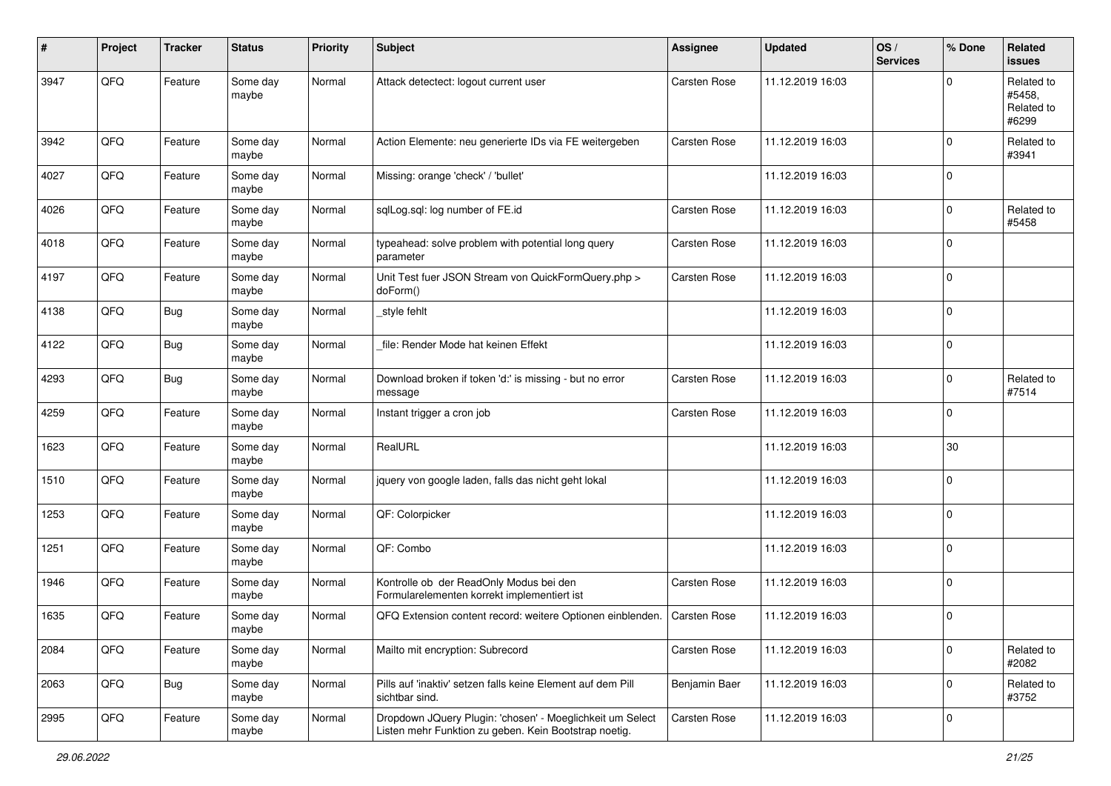| #    | Project | <b>Tracker</b> | <b>Status</b>     | <b>Priority</b> | <b>Subject</b>                                                                                                     | <b>Assignee</b>     | <b>Updated</b>   | OS/<br><b>Services</b> | % Done      | Related<br><b>issues</b>                    |
|------|---------|----------------|-------------------|-----------------|--------------------------------------------------------------------------------------------------------------------|---------------------|------------------|------------------------|-------------|---------------------------------------------|
| 3947 | QFQ     | Feature        | Some day<br>maybe | Normal          | Attack detectect: logout current user                                                                              | Carsten Rose        | 11.12.2019 16:03 |                        | $\mathbf 0$ | Related to<br>#5458.<br>Related to<br>#6299 |
| 3942 | QFQ     | Feature        | Some day<br>maybe | Normal          | Action Elemente: neu generierte IDs via FE weitergeben                                                             | Carsten Rose        | 11.12.2019 16:03 |                        | $\mathbf 0$ | Related to<br>#3941                         |
| 4027 | QFQ     | Feature        | Some day<br>maybe | Normal          | Missing: orange 'check' / 'bullet'                                                                                 |                     | 11.12.2019 16:03 |                        | $\mathbf 0$ |                                             |
| 4026 | QFQ     | Feature        | Some day<br>maybe | Normal          | sqlLog.sql: log number of FE.id                                                                                    | <b>Carsten Rose</b> | 11.12.2019 16:03 |                        | $\mathbf 0$ | Related to<br>#5458                         |
| 4018 | QFQ     | Feature        | Some day<br>maybe | Normal          | typeahead: solve problem with potential long query<br>parameter                                                    | Carsten Rose        | 11.12.2019 16:03 |                        | $\mathbf 0$ |                                             |
| 4197 | QFQ     | Feature        | Some day<br>maybe | Normal          | Unit Test fuer JSON Stream von QuickFormQuery.php ><br>doForm()                                                    | Carsten Rose        | 11.12.2019 16:03 |                        | $\mathbf 0$ |                                             |
| 4138 | QFQ     | Bug            | Some day<br>maybe | Normal          | _style fehlt                                                                                                       |                     | 11.12.2019 16:03 |                        | $\mathbf 0$ |                                             |
| 4122 | QFQ     | <b>Bug</b>     | Some day<br>maybe | Normal          | file: Render Mode hat keinen Effekt                                                                                |                     | 11.12.2019 16:03 |                        | $\pmb{0}$   |                                             |
| 4293 | QFQ     | Bug            | Some day<br>maybe | Normal          | Download broken if token 'd:' is missing - but no error<br>message                                                 | <b>Carsten Rose</b> | 11.12.2019 16:03 |                        | $\mathbf 0$ | Related to<br>#7514                         |
| 4259 | QFQ     | Feature        | Some day<br>maybe | Normal          | Instant trigger a cron job                                                                                         | Carsten Rose        | 11.12.2019 16:03 |                        | $\mathbf 0$ |                                             |
| 1623 | QFQ     | Feature        | Some day<br>maybe | Normal          | RealURL                                                                                                            |                     | 11.12.2019 16:03 |                        | 30          |                                             |
| 1510 | QFQ     | Feature        | Some day<br>maybe | Normal          | jquery von google laden, falls das nicht geht lokal                                                                |                     | 11.12.2019 16:03 |                        | $\mathbf 0$ |                                             |
| 1253 | QFQ     | Feature        | Some day<br>maybe | Normal          | QF: Colorpicker                                                                                                    |                     | 11.12.2019 16:03 |                        | $\mathbf 0$ |                                             |
| 1251 | QFQ     | Feature        | Some day<br>maybe | Normal          | QF: Combo                                                                                                          |                     | 11.12.2019 16:03 |                        | $\mathbf 0$ |                                             |
| 1946 | QFQ     | Feature        | Some day<br>maybe | Normal          | Kontrolle ob der ReadOnly Modus bei den<br>Formularelementen korrekt implementiert ist                             | Carsten Rose        | 11.12.2019 16:03 |                        | $\mathbf 0$ |                                             |
| 1635 | QFQ     | Feature        | Some day<br>maybe | Normal          | QFQ Extension content record: weitere Optionen einblenden.                                                         | Carsten Rose        | 11.12.2019 16:03 |                        | $\mathbf 0$ |                                             |
| 2084 | QFQ     | Feature        | Some day<br>maybe | Normal          | Mailto mit encryption: Subrecord                                                                                   | Carsten Rose        | 11.12.2019 16:03 |                        | $\mathbf 0$ | Related to<br>#2082                         |
| 2063 | QFQ     | <b>Bug</b>     | Some day<br>maybe | Normal          | Pills auf 'inaktiv' setzen falls keine Element auf dem Pill<br>sichtbar sind.                                      | Benjamin Baer       | 11.12.2019 16:03 |                        | $\mathbf 0$ | Related to<br>#3752                         |
| 2995 | QFQ     | Feature        | Some day<br>maybe | Normal          | Dropdown JQuery Plugin: 'chosen' - Moeglichkeit um Select<br>Listen mehr Funktion zu geben. Kein Bootstrap noetig. | Carsten Rose        | 11.12.2019 16:03 |                        | $\mathbf 0$ |                                             |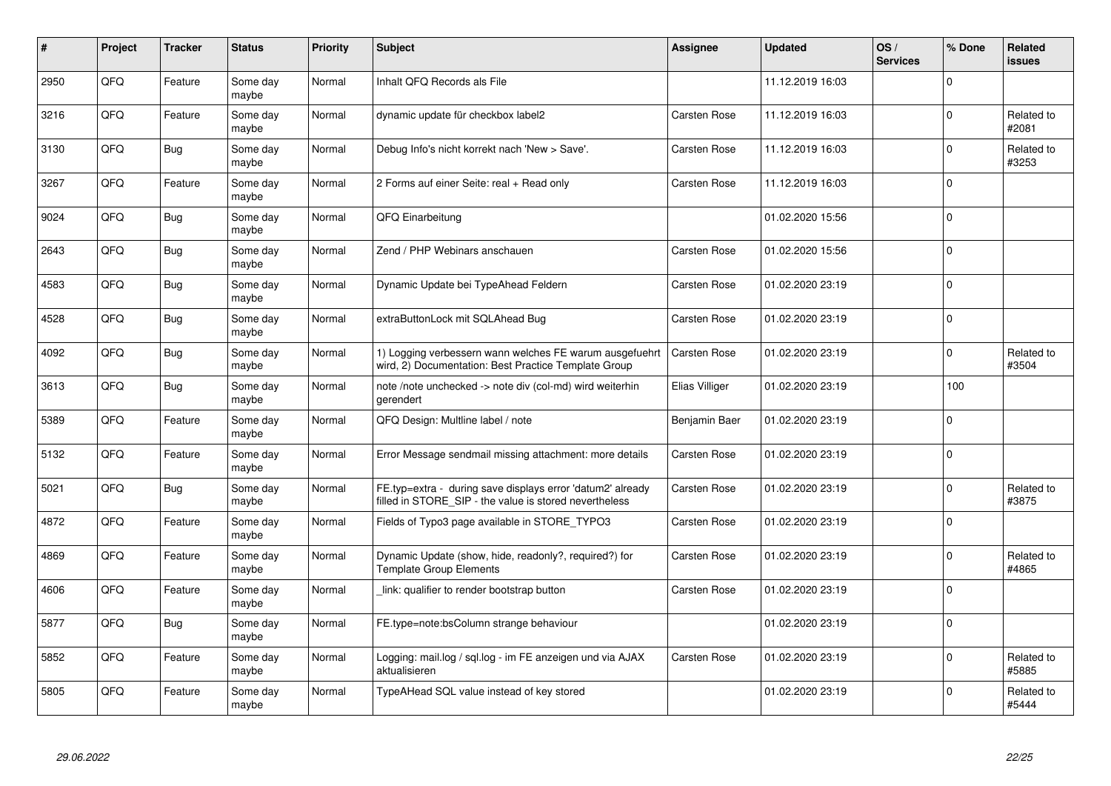| #    | Project    | <b>Tracker</b> | <b>Status</b>     | <b>Priority</b> | <b>Subject</b>                                                                                                       | <b>Assignee</b>     | <b>Updated</b>   | OS/<br><b>Services</b> | % Done      | <b>Related</b><br><b>issues</b> |
|------|------------|----------------|-------------------|-----------------|----------------------------------------------------------------------------------------------------------------------|---------------------|------------------|------------------------|-------------|---------------------------------|
| 2950 | QFQ        | Feature        | Some day<br>maybe | Normal          | Inhalt QFQ Records als File                                                                                          |                     | 11.12.2019 16:03 |                        | $\mathbf 0$ |                                 |
| 3216 | QFQ        | Feature        | Some day<br>maybe | Normal          | dynamic update für checkbox label2                                                                                   | <b>Carsten Rose</b> | 11.12.2019 16:03 |                        | $\mathbf 0$ | Related to<br>#2081             |
| 3130 | QFQ        | <b>Bug</b>     | Some day<br>maybe | Normal          | Debug Info's nicht korrekt nach 'New > Save'.                                                                        | Carsten Rose        | 11.12.2019 16:03 |                        | $\mathbf 0$ | Related to<br>#3253             |
| 3267 | <b>OFO</b> | Feature        | Some day<br>maybe | Normal          | 2 Forms auf einer Seite: real + Read only                                                                            | Carsten Rose        | 11.12.2019 16:03 |                        | $\Omega$    |                                 |
| 9024 | QFQ        | Bug            | Some day<br>maybe | Normal          | QFQ Einarbeitung                                                                                                     |                     | 01.02.2020 15:56 |                        | $\mathbf 0$ |                                 |
| 2643 | QFQ        | <b>Bug</b>     | Some day<br>maybe | Normal          | Zend / PHP Webinars anschauen                                                                                        | Carsten Rose        | 01.02.2020 15:56 |                        | $\mathbf 0$ |                                 |
| 4583 | QFQ        | <b>Bug</b>     | Some day<br>maybe | Normal          | Dynamic Update bei TypeAhead Feldern                                                                                 | Carsten Rose        | 01.02.2020 23:19 |                        | $\mathbf 0$ |                                 |
| 4528 | QFQ        | <b>Bug</b>     | Some day<br>maybe | Normal          | extraButtonLock mit SQLAhead Bug                                                                                     | Carsten Rose        | 01.02.2020 23:19 |                        | $\Omega$    |                                 |
| 4092 | QFQ        | Bug            | Some day<br>maybe | Normal          | 1) Logging verbessern wann welches FE warum ausgefuehrt<br>wird, 2) Documentation: Best Practice Template Group      | <b>Carsten Rose</b> | 01.02.2020 23:19 |                        | $\mathbf 0$ | Related to<br>#3504             |
| 3613 | QFQ        | Bug            | Some day<br>maybe | Normal          | note /note unchecked -> note div (col-md) wird weiterhin<br>gerendert                                                | Elias Villiger      | 01.02.2020 23:19 |                        | 100         |                                 |
| 5389 | QFQ        | Feature        | Some day<br>maybe | Normal          | QFQ Design: Multline label / note                                                                                    | Benjamin Baer       | 01.02.2020 23:19 |                        | $\mathbf 0$ |                                 |
| 5132 | QFQ        | Feature        | Some day<br>maybe | Normal          | Error Message sendmail missing attachment: more details                                                              | Carsten Rose        | 01.02.2020 23:19 |                        | $\mathbf 0$ |                                 |
| 5021 | QFQ        | Bug            | Some day<br>maybe | Normal          | FE.typ=extra - during save displays error 'datum2' already<br>filled in STORE SIP - the value is stored nevertheless | Carsten Rose        | 01.02.2020 23:19 |                        | $\pmb{0}$   | Related to<br>#3875             |
| 4872 | QFQ        | Feature        | Some day<br>maybe | Normal          | Fields of Typo3 page available in STORE_TYPO3                                                                        | Carsten Rose        | 01.02.2020 23:19 |                        | $\pmb{0}$   |                                 |
| 4869 | QFQ        | Feature        | Some day<br>maybe | Normal          | Dynamic Update (show, hide, readonly?, required?) for<br><b>Template Group Elements</b>                              | Carsten Rose        | 01.02.2020 23:19 |                        | $\Omega$    | Related to<br>#4865             |
| 4606 | QFQ        | Feature        | Some day<br>maybe | Normal          | link: qualifier to render bootstrap button                                                                           | Carsten Rose        | 01.02.2020 23:19 |                        | $\Omega$    |                                 |
| 5877 | QFQ        | Bug            | Some day<br>maybe | Normal          | FE.type=note:bsColumn strange behaviour                                                                              |                     | 01.02.2020 23:19 |                        | $\mathbf 0$ |                                 |
| 5852 | QFQ        | Feature        | Some day<br>maybe | Normal          | Logging: mail.log / sql.log - im FE anzeigen und via AJAX<br>aktualisieren                                           | Carsten Rose        | 01.02.2020 23:19 |                        | $\pmb{0}$   | Related to<br>#5885             |
| 5805 | QFQ        | Feature        | Some day<br>maybe | Normal          | TypeAHead SQL value instead of key stored                                                                            |                     | 01.02.2020 23:19 |                        | $\Omega$    | Related to<br>#5444             |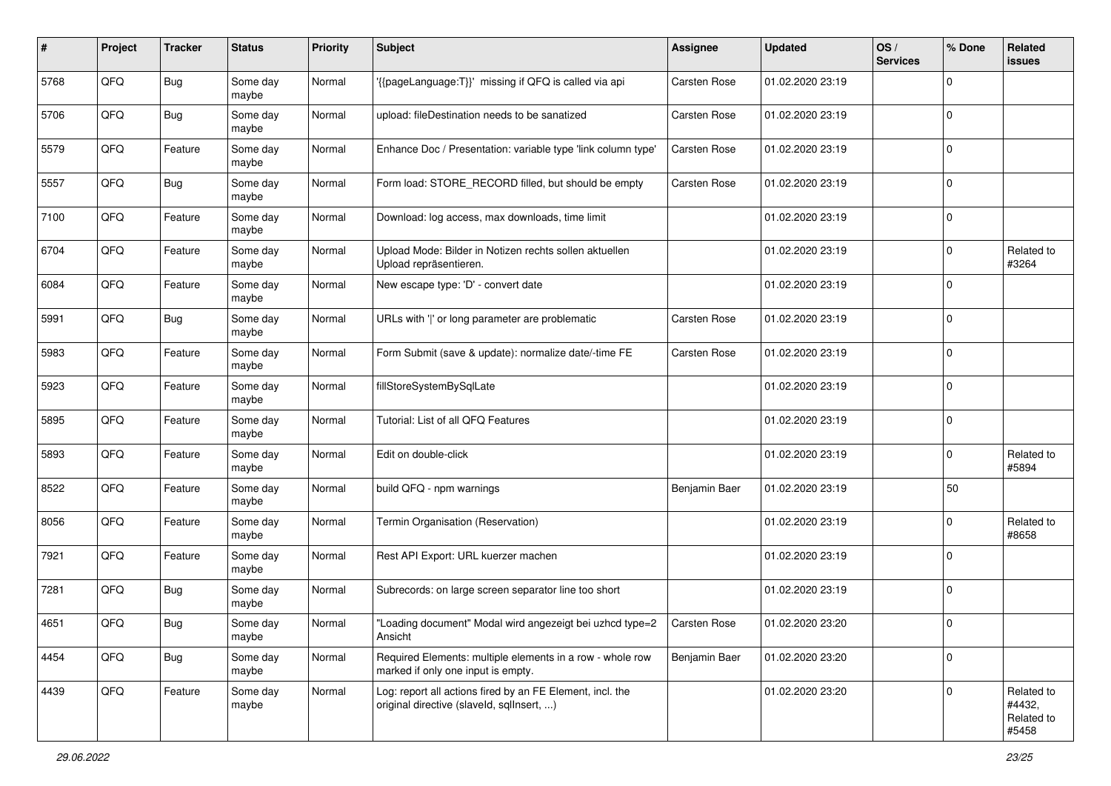| #    | Project | <b>Tracker</b> | <b>Status</b>     | <b>Priority</b> | <b>Subject</b>                                                                                         | <b>Assignee</b>     | <b>Updated</b>   | OS/<br><b>Services</b> | % Done       | Related<br><b>issues</b>                    |
|------|---------|----------------|-------------------|-----------------|--------------------------------------------------------------------------------------------------------|---------------------|------------------|------------------------|--------------|---------------------------------------------|
| 5768 | QFQ     | Bug            | Some day<br>maybe | Normal          | '{{pageLanguage:T}}' missing if QFQ is called via api                                                  | Carsten Rose        | 01.02.2020 23:19 |                        | $\mathbf 0$  |                                             |
| 5706 | QFQ     | Bug            | Some day<br>maybe | Normal          | upload: fileDestination needs to be sanatized                                                          | Carsten Rose        | 01.02.2020 23:19 |                        | $\mathbf 0$  |                                             |
| 5579 | QFQ     | Feature        | Some day<br>maybe | Normal          | Enhance Doc / Presentation: variable type 'link column type'                                           | Carsten Rose        | 01.02.2020 23:19 |                        | $\mathbf 0$  |                                             |
| 5557 | QFQ     | <b>Bug</b>     | Some day<br>maybe | Normal          | Form load: STORE_RECORD filled, but should be empty                                                    | <b>Carsten Rose</b> | 01.02.2020 23:19 |                        | $\mathbf 0$  |                                             |
| 7100 | QFQ     | Feature        | Some day<br>maybe | Normal          | Download: log access, max downloads, time limit                                                        |                     | 01.02.2020 23:19 |                        | $\mathbf 0$  |                                             |
| 6704 | QFQ     | Feature        | Some day<br>maybe | Normal          | Upload Mode: Bilder in Notizen rechts sollen aktuellen<br>Upload repräsentieren.                       |                     | 01.02.2020 23:19 |                        | $\mathbf 0$  | Related to<br>#3264                         |
| 6084 | QFQ     | Feature        | Some day<br>maybe | Normal          | New escape type: 'D' - convert date                                                                    |                     | 01.02.2020 23:19 |                        | $\mathbf 0$  |                                             |
| 5991 | QFQ     | Bug            | Some day<br>maybe | Normal          | URLs with ' ' or long parameter are problematic                                                        | Carsten Rose        | 01.02.2020 23:19 |                        | $\mathbf 0$  |                                             |
| 5983 | QFQ     | Feature        | Some day<br>maybe | Normal          | Form Submit (save & update): normalize date/-time FE                                                   | Carsten Rose        | 01.02.2020 23:19 |                        | $\mathbf 0$  |                                             |
| 5923 | QFQ     | Feature        | Some day<br>maybe | Normal          | fillStoreSystemBySqlLate                                                                               |                     | 01.02.2020 23:19 |                        | $\mathbf 0$  |                                             |
| 5895 | QFQ     | Feature        | Some day<br>maybe | Normal          | Tutorial: List of all QFQ Features                                                                     |                     | 01.02.2020 23:19 |                        | $\mathbf 0$  |                                             |
| 5893 | QFQ     | Feature        | Some day<br>maybe | Normal          | Edit on double-click                                                                                   |                     | 01.02.2020 23:19 |                        | $\mathbf 0$  | Related to<br>#5894                         |
| 8522 | QFQ     | Feature        | Some day<br>maybe | Normal          | build QFQ - npm warnings                                                                               | Benjamin Baer       | 01.02.2020 23:19 |                        | 50           |                                             |
| 8056 | QFQ     | Feature        | Some day<br>maybe | Normal          | Termin Organisation (Reservation)                                                                      |                     | 01.02.2020 23:19 |                        | $\mathbf 0$  | Related to<br>#8658                         |
| 7921 | QFQ     | Feature        | Some day<br>maybe | Normal          | Rest API Export: URL kuerzer machen                                                                    |                     | 01.02.2020 23:19 |                        | $\mathbf 0$  |                                             |
| 7281 | QFQ     | Bug            | Some day<br>maybe | Normal          | Subrecords: on large screen separator line too short                                                   |                     | 01.02.2020 23:19 |                        | $\mathbf 0$  |                                             |
| 4651 | QFQ     | Bug            | Some day<br>maybe | Normal          | "Loading document" Modal wird angezeigt bei uzhcd type=2<br>Ansicht                                    | <b>Carsten Rose</b> | 01.02.2020 23:20 |                        | $\mathbf 0$  |                                             |
| 4454 | QFQ     | Bug            | Some day<br>maybe | Normal          | Required Elements: multiple elements in a row - whole row<br>marked if only one input is empty.        | Benjamin Baer       | 01.02.2020 23:20 |                        | $\mathbf 0$  |                                             |
| 4439 | QFO     | Feature        | Some day<br>maybe | Normal          | Log: report all actions fired by an FE Element, incl. the<br>original directive (slaveld, sqlInsert, ) |                     | 01.02.2020 23:20 |                        | $\mathbf{0}$ | Related to<br>#4432,<br>Related to<br>#5458 |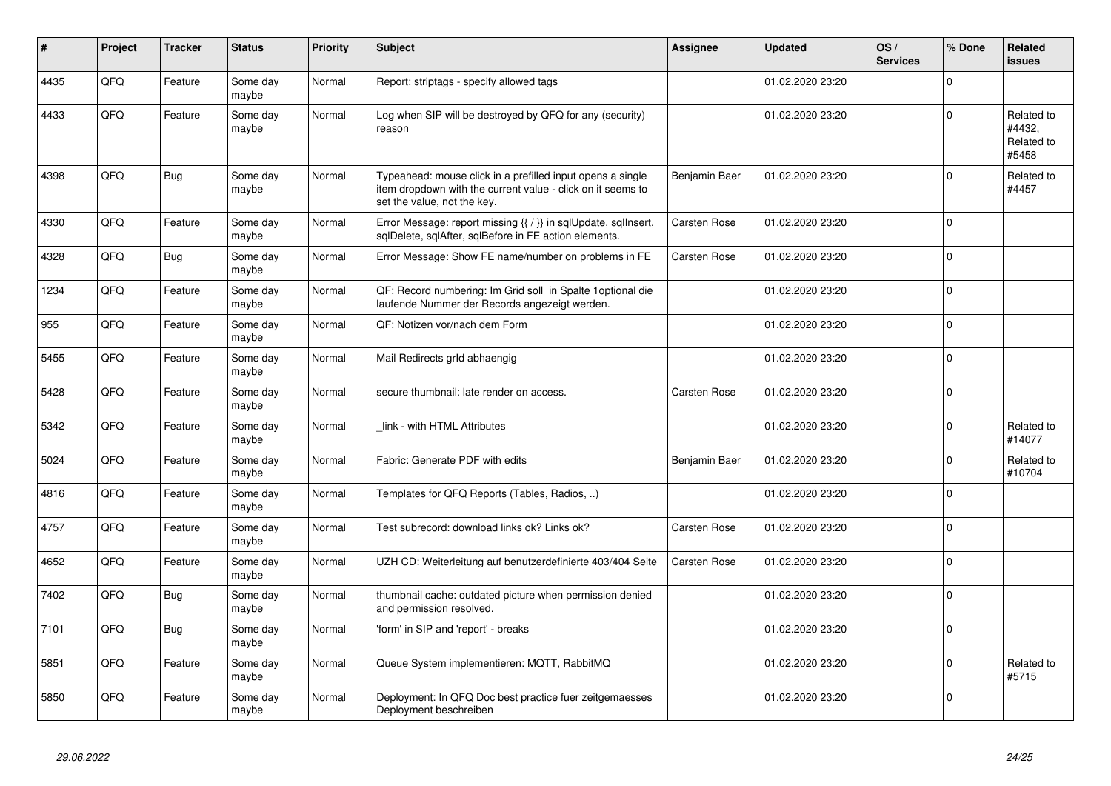| ∦    | Project | <b>Tracker</b> | <b>Status</b>     | <b>Priority</b> | <b>Subject</b>                                                                                                                                           | Assignee      | <b>Updated</b>   | OS/<br><b>Services</b> | % Done      | <b>Related</b><br><b>issues</b>             |
|------|---------|----------------|-------------------|-----------------|----------------------------------------------------------------------------------------------------------------------------------------------------------|---------------|------------------|------------------------|-------------|---------------------------------------------|
| 4435 | QFQ     | Feature        | Some day<br>maybe | Normal          | Report: striptags - specify allowed tags                                                                                                                 |               | 01.02.2020 23:20 |                        | $\mathbf 0$ |                                             |
| 4433 | QFQ     | Feature        | Some day<br>maybe | Normal          | Log when SIP will be destroyed by QFQ for any (security)<br>reason                                                                                       |               | 01.02.2020 23:20 |                        | $\mathbf 0$ | Related to<br>#4432,<br>Related to<br>#5458 |
| 4398 | QFQ     | Bug            | Some day<br>maybe | Normal          | Typeahead: mouse click in a prefilled input opens a single<br>item dropdown with the current value - click on it seems to<br>set the value, not the key. | Benjamin Baer | 01.02.2020 23:20 |                        | $\Omega$    | Related to<br>#4457                         |
| 4330 | QFQ     | Feature        | Some day<br>maybe | Normal          | Error Message: report missing {{ / }} in sqlUpdate, sqlInsert,<br>sqlDelete, sqlAfter, sqlBefore in FE action elements.                                  | Carsten Rose  | 01.02.2020 23:20 |                        | $\mathbf 0$ |                                             |
| 4328 | QFQ     | Bug            | Some day<br>maybe | Normal          | Error Message: Show FE name/number on problems in FE                                                                                                     | Carsten Rose  | 01.02.2020 23:20 |                        | $\mathbf 0$ |                                             |
| 1234 | QFQ     | Feature        | Some day<br>maybe | Normal          | QF: Record numbering: Im Grid soll in Spalte 1 optional die<br>laufende Nummer der Records angezeigt werden.                                             |               | 01.02.2020 23:20 |                        | $\pmb{0}$   |                                             |
| 955  | QFQ     | Feature        | Some day<br>maybe | Normal          | QF: Notizen vor/nach dem Form                                                                                                                            |               | 01.02.2020 23:20 |                        | $\pmb{0}$   |                                             |
| 5455 | QFQ     | Feature        | Some day<br>maybe | Normal          | Mail Redirects grld abhaengig                                                                                                                            |               | 01.02.2020 23:20 |                        | $\Omega$    |                                             |
| 5428 | QFQ     | Feature        | Some day<br>maybe | Normal          | secure thumbnail: late render on access.                                                                                                                 | Carsten Rose  | 01.02.2020 23:20 |                        | $\mathbf 0$ |                                             |
| 5342 | QFQ     | Feature        | Some day<br>maybe | Normal          | link - with HTML Attributes                                                                                                                              |               | 01.02.2020 23:20 |                        | $\mathbf 0$ | Related to<br>#14077                        |
| 5024 | QFQ     | Feature        | Some day<br>maybe | Normal          | Fabric: Generate PDF with edits                                                                                                                          | Benjamin Baer | 01.02.2020 23:20 |                        | $\Omega$    | Related to<br>#10704                        |
| 4816 | QFQ     | Feature        | Some day<br>maybe | Normal          | Templates for QFQ Reports (Tables, Radios, )                                                                                                             |               | 01.02.2020 23:20 |                        | $\mathbf 0$ |                                             |
| 4757 | QFQ     | Feature        | Some day<br>maybe | Normal          | Test subrecord: download links ok? Links ok?                                                                                                             | Carsten Rose  | 01.02.2020 23:20 |                        | $\mathbf 0$ |                                             |
| 4652 | QFQ     | Feature        | Some day<br>maybe | Normal          | UZH CD: Weiterleitung auf benutzerdefinierte 403/404 Seite                                                                                               | Carsten Rose  | 01.02.2020 23:20 |                        | $\mathbf 0$ |                                             |
| 7402 | QFQ     | Bug            | Some day<br>maybe | Normal          | thumbnail cache: outdated picture when permission denied<br>and permission resolved.                                                                     |               | 01.02.2020 23:20 |                        | $\Omega$    |                                             |
| 7101 | QFQ     | <b>Bug</b>     | Some day<br>maybe | Normal          | 'form' in SIP and 'report' - breaks                                                                                                                      |               | 01.02.2020 23:20 |                        | $\mathbf 0$ |                                             |
| 5851 | QFQ     | Feature        | Some day<br>maybe | Normal          | Queue System implementieren: MQTT, RabbitMQ                                                                                                              |               | 01.02.2020 23:20 |                        | $\Omega$    | Related to<br>#5715                         |
| 5850 | QFQ     | Feature        | Some day<br>maybe | Normal          | Deployment: In QFQ Doc best practice fuer zeitgemaesses<br>Deployment beschreiben                                                                        |               | 01.02.2020 23:20 |                        | $\mathbf 0$ |                                             |